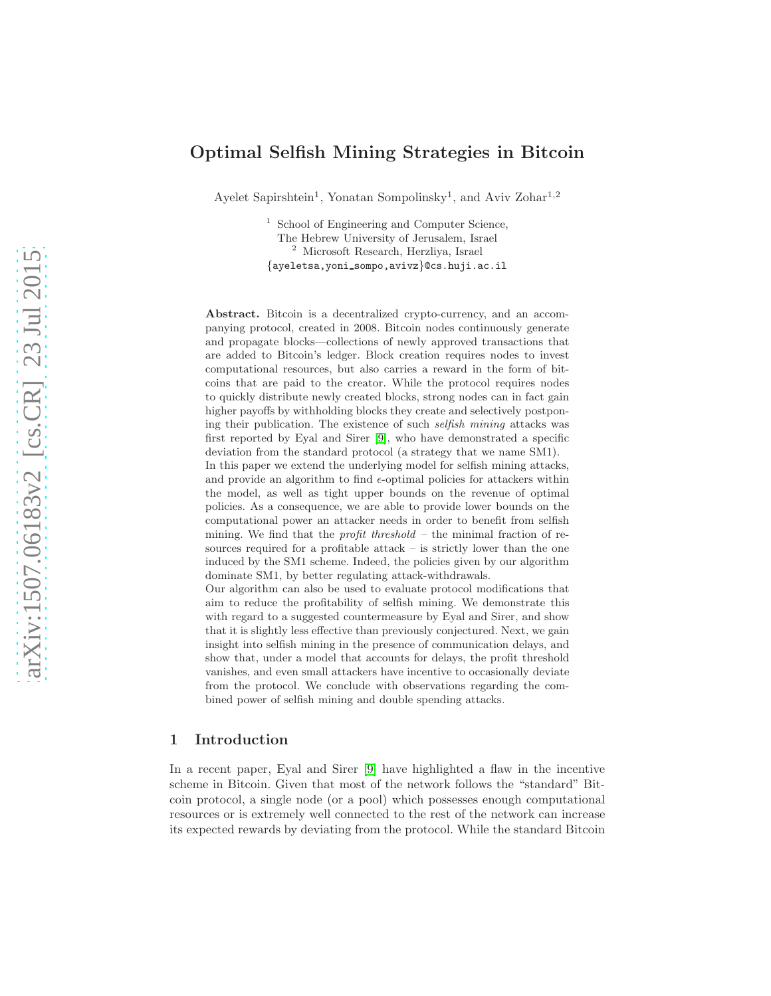# Optimal Selfish Mining Strategies in Bitcoin

Ayelet Sapirshtein<sup>1</sup>, Yonatan Sompolinsky<sup>1</sup>, and Aviv Zohar<sup>1,2</sup>

<sup>1</sup> School of Engineering and Computer Science, The Hebrew University of Jerusalem, Israel <sup>2</sup> Microsoft Research, Herzliya, Israel {ayeletsa,yoni sompo,avivz}@cs.huji.ac.il

Abstract. Bitcoin is a decentralized crypto-currency, and an accompanying protocol, created in 2008. Bitcoin nodes continuously generate and propagate blocks—collections of newly approved transactions that are added to Bitcoin's ledger. Block creation requires nodes to invest computational resources, but also carries a reward in the form of bitcoins that are paid to the creator. While the protocol requires nodes to quickly distribute newly created blocks, strong nodes can in fact gain higher payoffs by withholding blocks they create and selectively postponing their publication. The existence of such *selfish mining* attacks was first reported by Eyal and Sirer [\[9\]](#page-20-0), who have demonstrated a specific deviation from the standard protocol (a strategy that we name SM1).

In this paper we extend the underlying model for selfish mining attacks, and provide an algorithm to find  $\epsilon$ -optimal policies for attackers within the model, as well as tight upper bounds on the revenue of optimal policies. As a consequence, we are able to provide lower bounds on the computational power an attacker needs in order to benefit from selfish mining. We find that the *profit threshold* – the minimal fraction of resources required for a profitable attack – is strictly lower than the one induced by the SM1 scheme. Indeed, the policies given by our algorithm dominate SM1, by better regulating attack-withdrawals.

Our algorithm can also be used to evaluate protocol modifications that aim to reduce the profitability of selfish mining. We demonstrate this with regard to a suggested countermeasure by Eyal and Sirer, and show that it is slightly less effective than previously conjectured. Next, we gain insight into selfish mining in the presence of communication delays, and show that, under a model that accounts for delays, the profit threshold vanishes, and even small attackers have incentive to occasionally deviate from the protocol. We conclude with observations regarding the combined power of selfish mining and double spending attacks.

### 1 Introduction

In a recent paper, Eyal and Sirer [\[9\]](#page-20-0) have highlighted a flaw in the incentive scheme in Bitcoin. Given that most of the network follows the "standard" Bitcoin protocol, a single node (or a pool) which possesses enough computational resources or is extremely well connected to the rest of the network can increase its expected rewards by deviating from the protocol. While the standard Bitcoin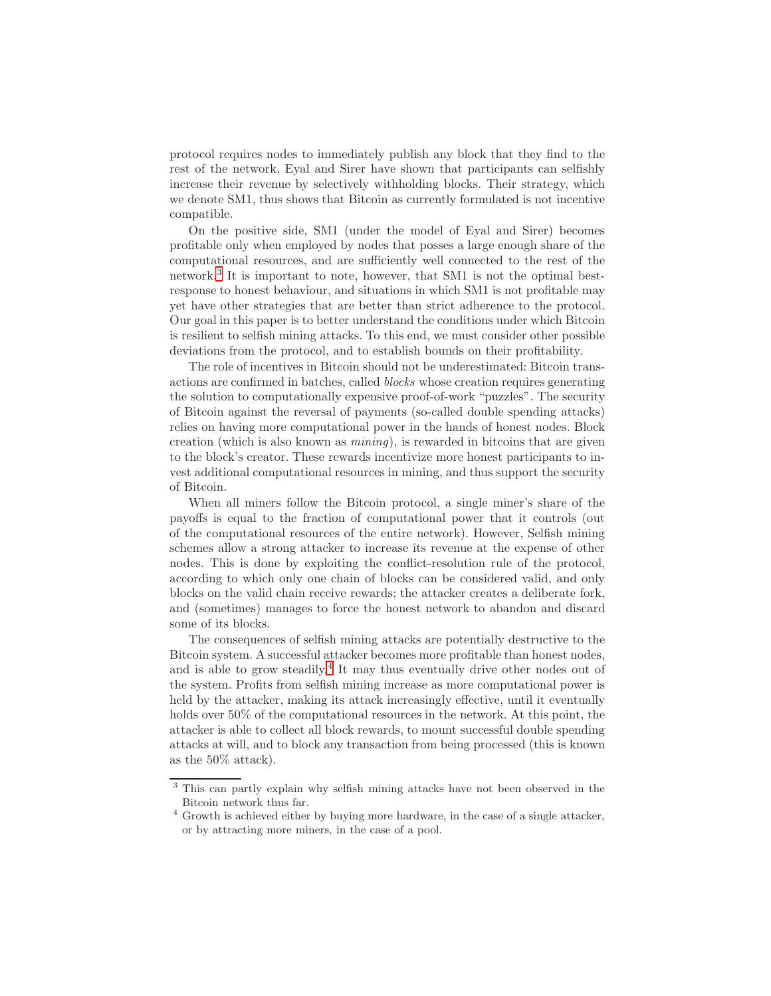protocol requires nodes to immediately publish any block that they find to the rest of the network, Eyal and Sirer have shown that participants can selfishly increase their revenue by selectively withholding blocks. Their strategy, which we denote SM1, thus shows that Bitcoin as currently formulated is not incentive compatible.

On the positive side, SM1 (under the model of Eyal and Sirer) becomes profitable only when employed by nodes that posses a large enough share of the computational resources, and are sufficiently well connected to the rest of the network.[3](#page-1-0) It is important to note, however, that SM1 is not the optimal bestresponse to honest behaviour, and situations in which SM1 is not profitable may yet have other strategies that are better than strict adherence to the protocol. Our goal in this paper is to better understand the conditions under which Bitcoin is resilient to selfish mining attacks. To this end, we must consider other possible deviations from the protocol, and to establish bounds on their profitability.

The role of incentives in Bitcoin should not be underestimated: Bitcoin transactions are confirmed in batches, called blocks whose creation requires generating the solution to computationally expensive proof-of-work "puzzles". The security of Bitcoin against the reversal of payments (so-called double spending attacks) relies on having more computational power in the hands of honest nodes. Block creation (which is also known as mining), is rewarded in bitcoins that are given to the block's creator. These rewards incentivize more honest participants to invest additional computational resources in mining, and thus support the security of Bitcoin.

When all miners follow the Bitcoin protocol, a single miner's share of the payoffs is equal to the fraction of computational power that it controls (out of the computational resources of the entire network). However, Selfish mining schemes allow a strong attacker to increase its revenue at the expense of other nodes. This is done by exploiting the conflict-resolution rule of the protocol, according to which only one chain of blocks can be considered valid, and only blocks on the valid chain receive rewards; the attacker creates a deliberate fork, and (sometimes) manages to force the honest network to abandon and discard some of its blocks.

The consequences of selfish mining attacks are potentially destructive to the Bitcoin system. A successful attacker becomes more profitable than honest nodes, and is able to grow steadily.<sup>[4](#page-1-1)</sup> It may thus eventually drive other nodes out of the system. Profits from selfish mining increase as more computational power is held by the attacker, making its attack increasingly effective, until it eventually holds over 50% of the computational resources in the network. At this point, the attacker is able to collect all block rewards, to mount successful double spending attacks at will, and to block any transaction from being processed (this is known as the 50% attack).

<sup>3</sup> This can partly explain why selfish mining attacks have not been observed in the Bitcoin network thus far.

<span id="page-1-1"></span><span id="page-1-0"></span> $^4$  Growth is achieved either by buying more hardware, in the case of a single attacker, or by attracting more miners, in the case of a pool.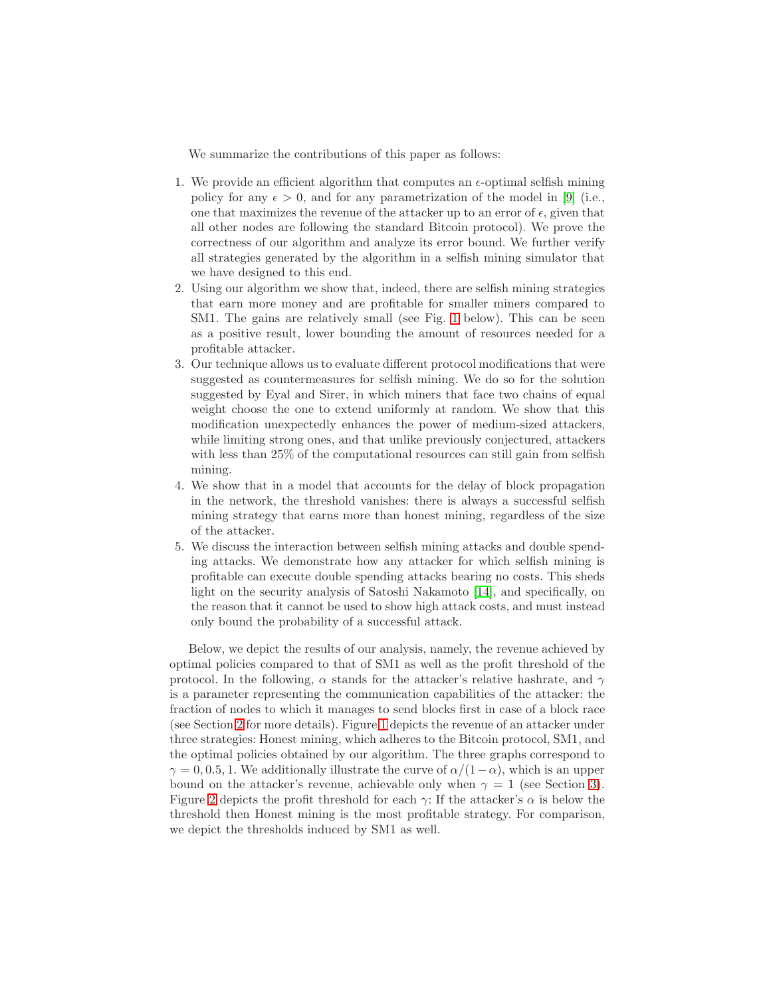We summarize the contributions of this paper as follows:

- 1. We provide an efficient algorithm that computes an  $\epsilon$ -optimal selfish mining policy for any  $\epsilon > 0$ , and for any parametrization of the model in [\[9\]](#page-20-0) (i.e., one that maximizes the revenue of the attacker up to an error of  $\epsilon$ , given that all other nodes are following the standard Bitcoin protocol). We prove the correctness of our algorithm and analyze its error bound. We further verify all strategies generated by the algorithm in a selfish mining simulator that we have designed to this end.
- 2. Using our algorithm we show that, indeed, there are selfish mining strategies that earn more money and are profitable for smaller miners compared to SM1. The gains are relatively small (see Fig. [1](#page-3-0) below). This can be seen as a positive result, lower bounding the amount of resources needed for a profitable attacker.
- 3. Our technique allows us to evaluate different protocol modifications that were suggested as countermeasures for selfish mining. We do so for the solution suggested by Eyal and Sirer, in which miners that face two chains of equal weight choose the one to extend uniformly at random. We show that this modification unexpectedly enhances the power of medium-sized attackers, while limiting strong ones, and that unlike previously conjectured, attackers with less than 25% of the computational resources can still gain from selfish mining.
- 4. We show that in a model that accounts for the delay of block propagation in the network, the threshold vanishes: there is always a successful selfish mining strategy that earns more than honest mining, regardless of the size of the attacker.
- 5. We discuss the interaction between selfish mining attacks and double spending attacks. We demonstrate how any attacker for which selfish mining is profitable can execute double spending attacks bearing no costs. This sheds light on the security analysis of Satoshi Nakamoto [\[14\]](#page-20-1), and specifically, on the reason that it cannot be used to show high attack costs, and must instead only bound the probability of a successful attack.

Below, we depict the results of our analysis, namely, the revenue achieved by optimal policies compared to that of SM1 as well as the profit threshold of the protocol. In the following,  $\alpha$  stands for the attacker's relative hashrate, and  $\gamma$ is a parameter representing the communication capabilities of the attacker: the fraction of nodes to which it manages to send blocks first in case of a block race (see Section [2](#page-4-0) for more details). Figure [1](#page-3-0) depicts the revenue of an attacker under three strategies: Honest mining, which adheres to the Bitcoin protocol, SM1, and the optimal policies obtained by our algorithm. The three graphs correspond to  $\gamma = 0, 0.5, 1$ . We additionally illustrate the curve of  $\alpha/(1-\alpha)$ , which is an upper bound on the attacker's revenue, achievable only when  $\gamma = 1$  (see Section [3\)](#page-8-0). Figure [2](#page-4-1) depicts the profit threshold for each  $\gamma$ : If the attacker's  $\alpha$  is below the threshold then Honest mining is the most profitable strategy. For comparison, we depict the thresholds induced by SM1 as well.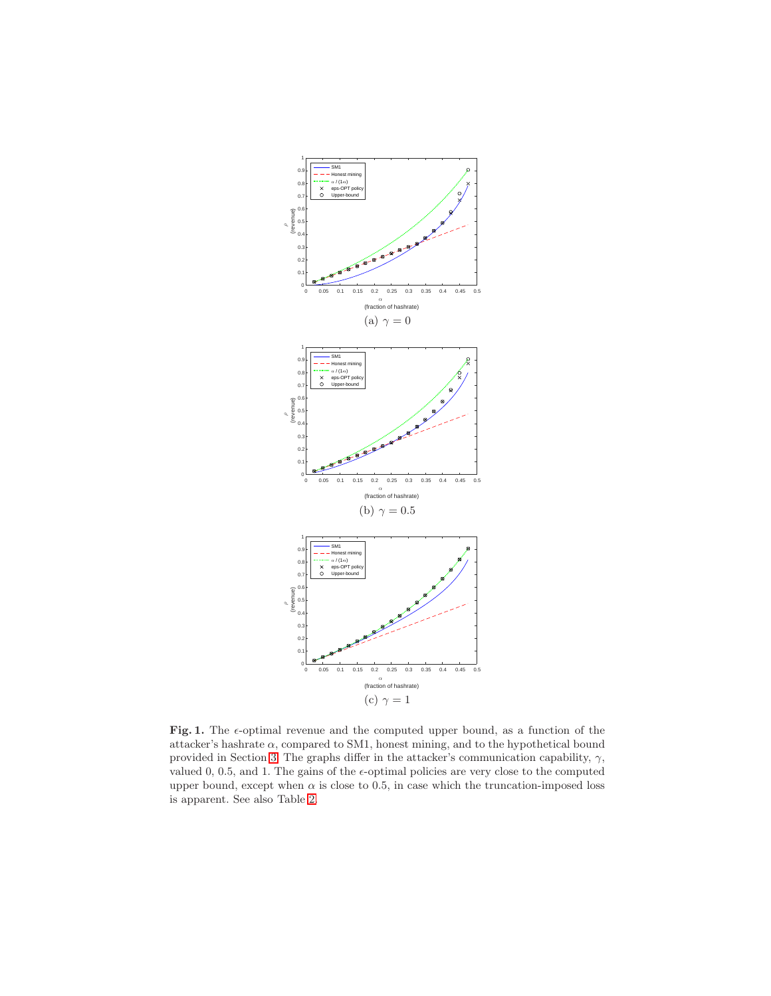

<span id="page-3-0"></span>Fig. 1. The  $\epsilon$ -optimal revenue and the computed upper bound, as a function of the attacker's hashrate  $\alpha$ , compared to SM1, honest mining, and to the hypothetical bound provided in Section [3.](#page-8-0) The graphs differ in the attacker's communication capability,  $\gamma$ , valued 0, 0.5, and 1. The gains of the  $\epsilon$ -optimal policies are very close to the computed upper bound, except when  $\alpha$  is close to 0.5, in case which the truncation-imposed loss is apparent. See also Table [2.](#page-12-0)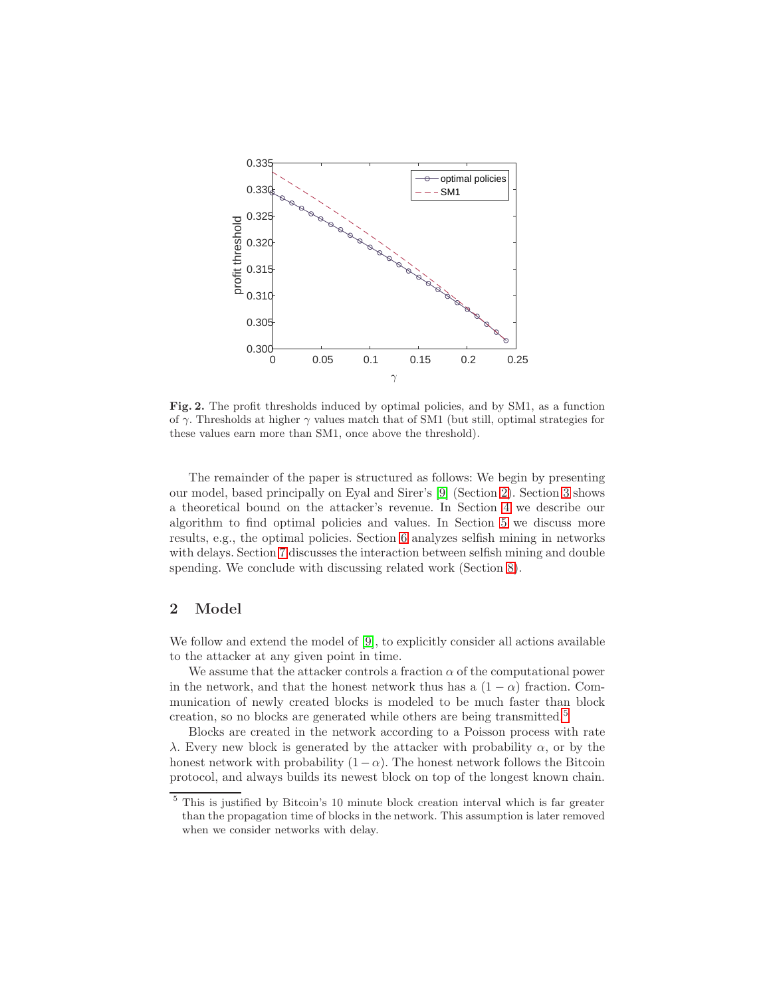

<span id="page-4-1"></span>Fig. 2. The profit thresholds induced by optimal policies, and by SM1, as a function of  $\gamma$ . Thresholds at higher  $\gamma$  values match that of SM1 (but still, optimal strategies for these values earn more than SM1, once above the threshold).

The remainder of the paper is structured as follows: We begin by presenting our model, based principally on Eyal and Sirer's [\[9\]](#page-20-0) (Section [2\)](#page-4-0). Section [3](#page-8-0) shows a theoretical bound on the attacker's revenue. In Section [4](#page-8-1) we describe our algorithm to find optimal policies and values. In Section [5](#page-12-1) we discuss more results, e.g., the optimal policies. Section [6](#page-15-0) analyzes selfish mining in networks with delays. Section [7](#page-18-0) discusses the interaction between selfish mining and double spending. We conclude with discussing related work (Section [8\)](#page-19-0).

### <span id="page-4-0"></span>2 Model

We follow and extend the model of [\[9\]](#page-20-0), to explicitly consider all actions available to the attacker at any given point in time.

We assume that the attacker controls a fraction  $\alpha$  of the computational power in the network, and that the honest network thus has a  $(1 - \alpha)$  fraction. Communication of newly created blocks is modeled to be much faster than block creation, so no blocks are generated while others are being transmitted.[5](#page-4-2)

Blocks are created in the network according to a Poisson process with rate λ. Every new block is generated by the attacker with probability α, or by the honest network with probability  $(1-\alpha)$ . The honest network follows the Bitcoin protocol, and always builds its newest block on top of the longest known chain.

<span id="page-4-2"></span><sup>5</sup> This is justified by Bitcoin's 10 minute block creation interval which is far greater than the propagation time of blocks in the network. This assumption is later removed when we consider networks with delay.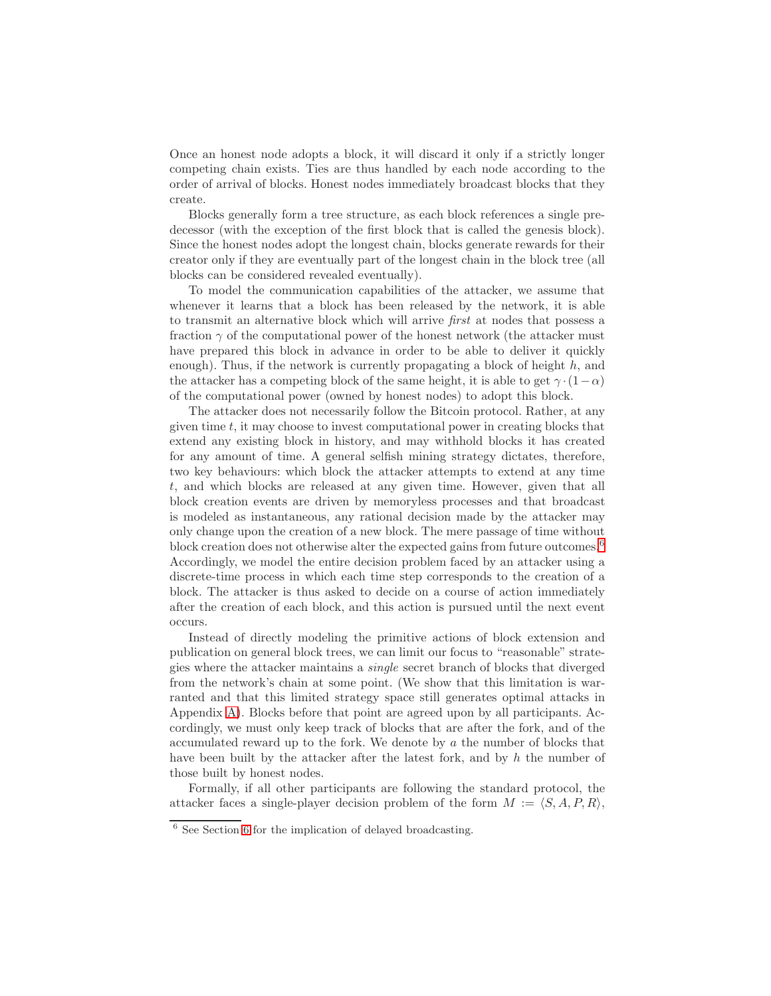Once an honest node adopts a block, it will discard it only if a strictly longer competing chain exists. Ties are thus handled by each node according to the order of arrival of blocks. Honest nodes immediately broadcast blocks that they create.

Blocks generally form a tree structure, as each block references a single predecessor (with the exception of the first block that is called the genesis block). Since the honest nodes adopt the longest chain, blocks generate rewards for their creator only if they are eventually part of the longest chain in the block tree (all blocks can be considered revealed eventually).

To model the communication capabilities of the attacker, we assume that whenever it learns that a block has been released by the network, it is able to transmit an alternative block which will arrive first at nodes that possess a fraction  $\gamma$  of the computational power of the honest network (the attacker must have prepared this block in advance in order to be able to deliver it quickly enough). Thus, if the network is currently propagating a block of height  $h$ , and the attacker has a competing block of the same height, it is able to get  $\gamma \cdot (1-\alpha)$ of the computational power (owned by honest nodes) to adopt this block.

The attacker does not necessarily follow the Bitcoin protocol. Rather, at any given time  $t$ , it may choose to invest computational power in creating blocks that extend any existing block in history, and may withhold blocks it has created for any amount of time. A general selfish mining strategy dictates, therefore, two key behaviours: which block the attacker attempts to extend at any time t, and which blocks are released at any given time. However, given that all block creation events are driven by memoryless processes and that broadcast is modeled as instantaneous, any rational decision made by the attacker may only change upon the creation of a new block. The mere passage of time without block creation does not otherwise alter the expected gains from future outcomes.<sup>[6](#page-5-0)</sup> Accordingly, we model the entire decision problem faced by an attacker using a discrete-time process in which each time step corresponds to the creation of a block. The attacker is thus asked to decide on a course of action immediately after the creation of each block, and this action is pursued until the next event occurs.

Instead of directly modeling the primitive actions of block extension and publication on general block trees, we can limit our focus to "reasonable" strategies where the attacker maintains a single secret branch of blocks that diverged from the network's chain at some point. (We show that this limitation is warranted and that this limited strategy space still generates optimal attacks in Appendix [A\)](#page-21-0). Blocks before that point are agreed upon by all participants. Accordingly, we must only keep track of blocks that are after the fork, and of the accumulated reward up to the fork. We denote by a the number of blocks that have been built by the attacker after the latest fork, and by  $h$  the number of those built by honest nodes.

Formally, if all other participants are following the standard protocol, the attacker faces a single-player decision problem of the form  $M := \langle S, A, P, R \rangle$ ,

<span id="page-5-0"></span><sup>6</sup> See Section [6](#page-15-0) for the implication of delayed broadcasting.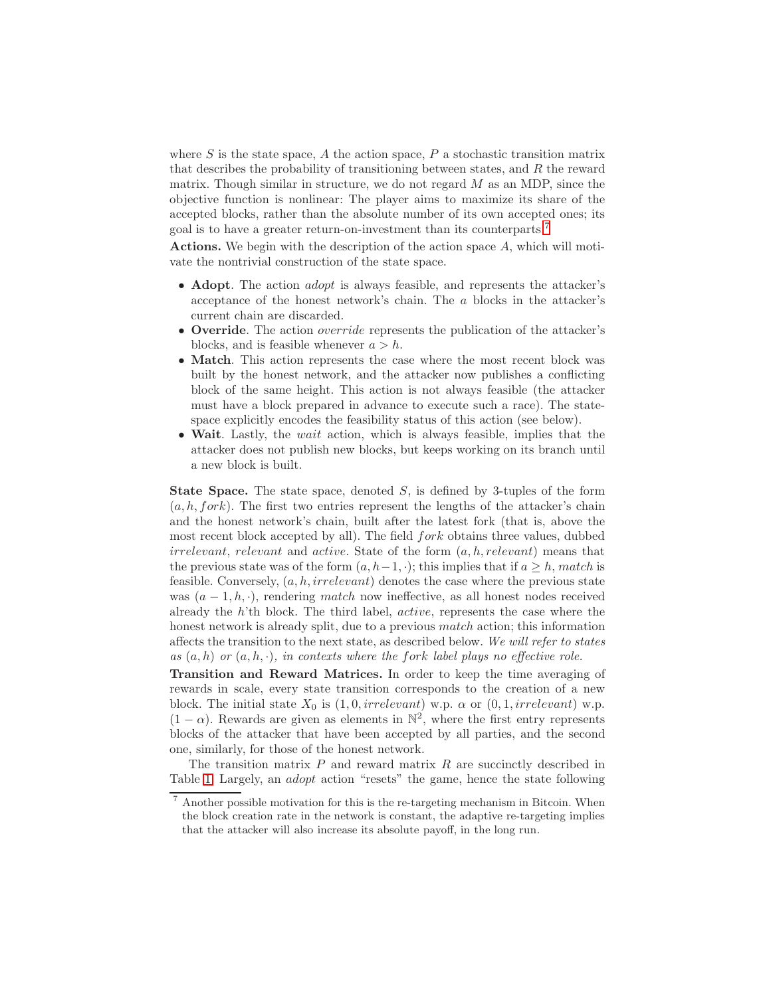where S is the state space, A the action space,  $P$  a stochastic transition matrix that describes the probability of transitioning between states, and  $R$  the reward matrix. Though similar in structure, we do not regard  $M$  as an MDP, since the objective function is nonlinear: The player aims to maximize its share of the accepted blocks, rather than the absolute number of its own accepted ones; its goal is to have a greater return-on-investment than its counterparts.[7](#page-6-0)

Actions. We begin with the description of the action space A, which will motivate the nontrivial construction of the state space.

- **Adopt**. The action *adopt* is always feasible, and represents the attacker's acceptance of the honest network's chain. The a blocks in the attacker's current chain are discarded.
- Override. The action override represents the publication of the attacker's blocks, and is feasible whenever  $a > h$ .
- Match. This action represents the case where the most recent block was built by the honest network, and the attacker now publishes a conflicting block of the same height. This action is not always feasible (the attacker must have a block prepared in advance to execute such a race). The statespace explicitly encodes the feasibility status of this action (see below).
- Wait. Lastly, the *wait* action, which is always feasible, implies that the attacker does not publish new blocks, but keeps working on its branch until a new block is built.

**State Space.** The state space, denoted  $S$ , is defined by 3-tuples of the form  $(a, h, fork)$ . The first two entries represent the lengths of the attacker's chain and the honest network's chain, built after the latest fork (that is, above the most recent block accepted by all). The field fork obtains three values, dubbed irrelevant, relevant and active. State of the form  $(a, h, relevant)$  means that the previous state was of the form  $(a, h-1, \cdot)$ ; this implies that if  $a \geq h$ , match is feasible. Conversely,  $(a, h, irrelevant)$  denotes the case where the previous state was  $(a - 1, h, \cdot)$ , rendering match now ineffective, as all honest nodes received already the h'th block. The third label, active, represents the case where the honest network is already split, due to a previous *match* action; this information affects the transition to the next state, as described below. We will refer to states as  $(a, h)$  or  $(a, h, \cdot)$ , in contexts where the fork label plays no effective role.

Transition and Reward Matrices. In order to keep the time averaging of rewards in scale, every state transition corresponds to the creation of a new block. The initial state  $X_0$  is  $(1, 0, irrelevant)$  w.p.  $\alpha$  or  $(0, 1, irrelevant)$  w.p.  $(1 - \alpha)$ . Rewards are given as elements in  $\mathbb{N}^2$ , where the first entry represents blocks of the attacker that have been accepted by all parties, and the second one, similarly, for those of the honest network.

The transition matrix  $P$  and reward matrix  $R$  are succinctly described in Table [1.](#page-7-0) Largely, an adopt action "resets" the game, hence the state following

<span id="page-6-0"></span><sup>7</sup> Another possible motivation for this is the re-targeting mechanism in Bitcoin. When the block creation rate in the network is constant, the adaptive re-targeting implies that the attacker will also increase its absolute payoff, in the long run.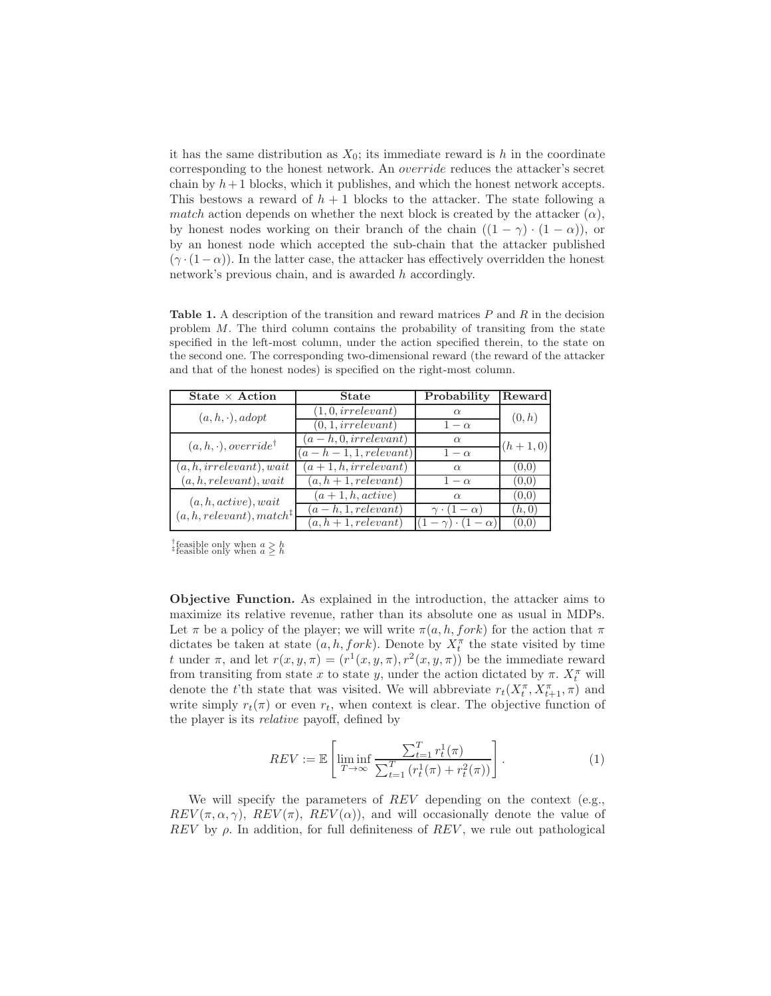it has the same distribution as  $X_0$ ; its immediate reward is h in the coordinate corresponding to the honest network. An override reduces the attacker's secret chain by  $h+1$  blocks, which it publishes, and which the honest network accepts. This bestows a reward of  $h + 1$  blocks to the attacker. The state following a match action depends on whether the next block is created by the attacker  $(\alpha)$ , by honest nodes working on their branch of the chain  $((1 - \gamma) \cdot (1 - \alpha))$ , or by an honest node which accepted the sub-chain that the attacker published  $(\gamma \cdot (1-\alpha))$ . In the latter case, the attacker has effectively overridden the honest network's previous chain, and is awarded h accordingly.

<span id="page-7-0"></span>**Table 1.** A description of the transition and reward matrices  $P$  and  $R$  in the decision problem  $M$ . The third column contains the probability of transiting from the state specified in the left-most column, under the action specified therein, to the state on the second one. The corresponding two-dimensional reward (the reward of the attacker and that of the honest nodes) is specified on the right-most column.

| State $\times$ Action                | <b>State</b>         | Probability                   | Reward       |  |
|--------------------------------------|----------------------|-------------------------------|--------------|--|
| $(a, h, \cdot), adopt$               | (1,0, irrelevant)    | $\alpha$                      | (0,h)        |  |
|                                      | (0, 1, irrelevant)   | $1-\alpha$                    |              |  |
| $(a, h, \cdot), override^{\dagger}$  | $(a-h,0,irrelevant)$ | $\alpha$                      | $(h + 1, 0)$ |  |
|                                      | $(a-h-1,1,relevant)$ | $1-\alpha$                    |              |  |
| (a, h, irrelevant), wait             | $(a+1,h,irrelevant)$ | $\alpha$                      | (0,0)        |  |
| (a, h, relevant), wait               | $(a, h+1, relevant)$ | $1-\alpha$                    | (0,0)        |  |
| (a, h, active), wait                 | $(a+1,h,active)$     | $\alpha$                      | (0,0)        |  |
| $(a, h, relevant), match^{\ddagger}$ | $(a-h, 1, relevant)$ | $\gamma \cdot (1-\alpha)$     | (h,0)        |  |
|                                      | $(a, h+1, relevant)$ | $(1-\gamma) \cdot (1-\alpha)$ | (0,0)        |  |

<sup>†</sup> feasible only when  $a \geq h$ <sup>#</sup> feasible only when  $a \geq h$ 

Objective Function. As explained in the introduction, the attacker aims to maximize its relative revenue, rather than its absolute one as usual in MDPs. Let  $\pi$  be a policy of the player; we will write  $\pi(a, h, fork)$  for the action that  $\pi$ dictates be taken at state  $(a, h, fork)$ . Denote by  $X_t^{\pi}$  the state visited by time t under  $\pi$ , and let  $r(x, y, \pi) = (r^1(x, y, \pi), r^2(x, y, \pi))$  be the immediate reward from transiting from state x to state y, under the action dictated by  $\pi$ .  $X_t^{\pi}$  will denote the *t*'th state that was visited. We will abbreviate  $r_t(X_t^{\pi}, X_{t+1}^{\pi}, \pi)$  and write simply  $r_t(\pi)$  or even  $r_t$ , when context is clear. The objective function of the player is its relative payoff, defined by

<span id="page-7-1"></span>
$$
REV := \mathbb{E}\left[\liminf_{T \to \infty} \frac{\sum_{t=1}^T r_t^1(\pi)}{\sum_{t=1}^T (r_t^1(\pi) + r_t^2(\pi))}\right].\tag{1}
$$

We will specify the parameters of  $REV$  depending on the context (e.g.,  $REV(\pi, \alpha, \gamma)$ ,  $REV(\pi)$ ,  $REV(\alpha)$ , and will occasionally denote the value of REV by  $\rho$ . In addition, for full definiteness of REV, we rule out pathological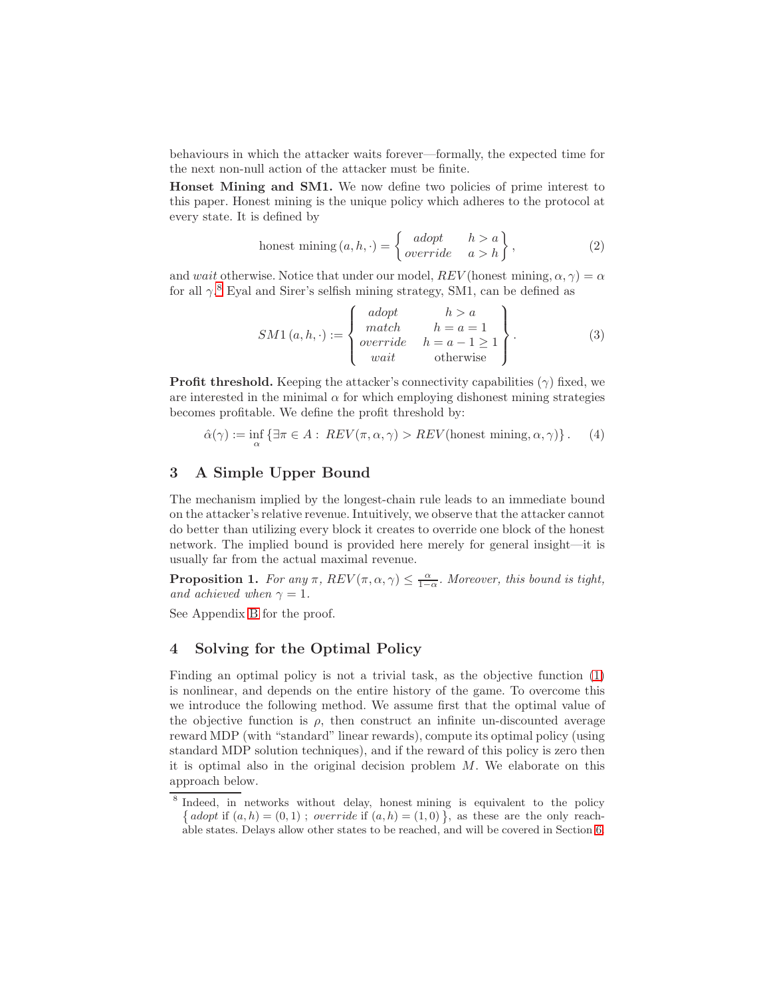behaviours in which the attacker waits forever—formally, the expected time for the next non-null action of the attacker must be finite.

Honset Mining and SM1. We now define two policies of prime interest to this paper. Honest mining is the unique policy which adheres to the protocol at every state. It is defined by

honest mining 
$$
(a, h, \cdot) = \begin{cases} adopt & h > a \\ override & a > h \end{cases}
$$
, (2)

and wait otherwise. Notice that under our model,  $REV$  (honest mining,  $\alpha, \gamma$ ) =  $\alpha$ for all  $\gamma$ .<sup>[8](#page-8-2)</sup> Eyal and Sirer's selfish mining strategy, SM1, can be defined as

$$
SM1(a, h, \cdot) := \begin{cases} adopt & h > a \\ match & h = a = 1 \\ override & h = a - 1 \ge 1 \\ wait & otherwise \end{cases}
$$
 (3)

**Profit threshold.** Keeping the attacker's connectivity capabilities  $(\gamma)$  fixed, we are interested in the minimal  $\alpha$  for which employing dishonest mining strategies becomes profitable. We define the profit threshold by:

<span id="page-8-3"></span>
$$
\hat{\alpha}(\gamma) := \inf_{\alpha} \left\{ \exists \pi \in A : REV(\pi, \alpha, \gamma) > REV(\text{honest mining}, \alpha, \gamma) \right\}.
$$
 (4)

### <span id="page-8-0"></span>3 A Simple Upper Bound

The mechanism implied by the longest-chain rule leads to an immediate bound on the attacker's relative revenue. Intuitively, we observe that the attacker cannot do better than utilizing every block it creates to override one block of the honest network. The implied bound is provided here merely for general insight—it is usually far from the actual maximal revenue.

**Proposition 1.** For any  $\pi$ ,  $REV(\pi, \alpha, \gamma) \leq \frac{\alpha}{1-\alpha}$ . Moreover, this bound is tight, and achieved when  $\gamma = 1$ .

See Appendix [B](#page-22-0) for the proof.

### <span id="page-8-1"></span>4 Solving for the Optimal Policy

Finding an optimal policy is not a trivial task, as the objective function [\(1\)](#page-7-1) is nonlinear, and depends on the entire history of the game. To overcome this we introduce the following method. We assume first that the optimal value of the objective function is  $\rho$ , then construct an infinite un-discounted average reward MDP (with "standard" linear rewards), compute its optimal policy (using standard MDP solution techniques), and if the reward of this policy is zero then it is optimal also in the original decision problem  $M$ . We elaborate on this approach below.

<span id="page-8-2"></span><sup>&</sup>lt;sup>8</sup> Indeed, in networks without delay, honest mining is equivalent to the policy  $\{ adopt if (a, h) = (0, 1) ; override if (a, h) = (1, 0) \},$  as these are the only reachable states. Delays allow other states to be reached, and will be covered in Section [6.](#page-15-0)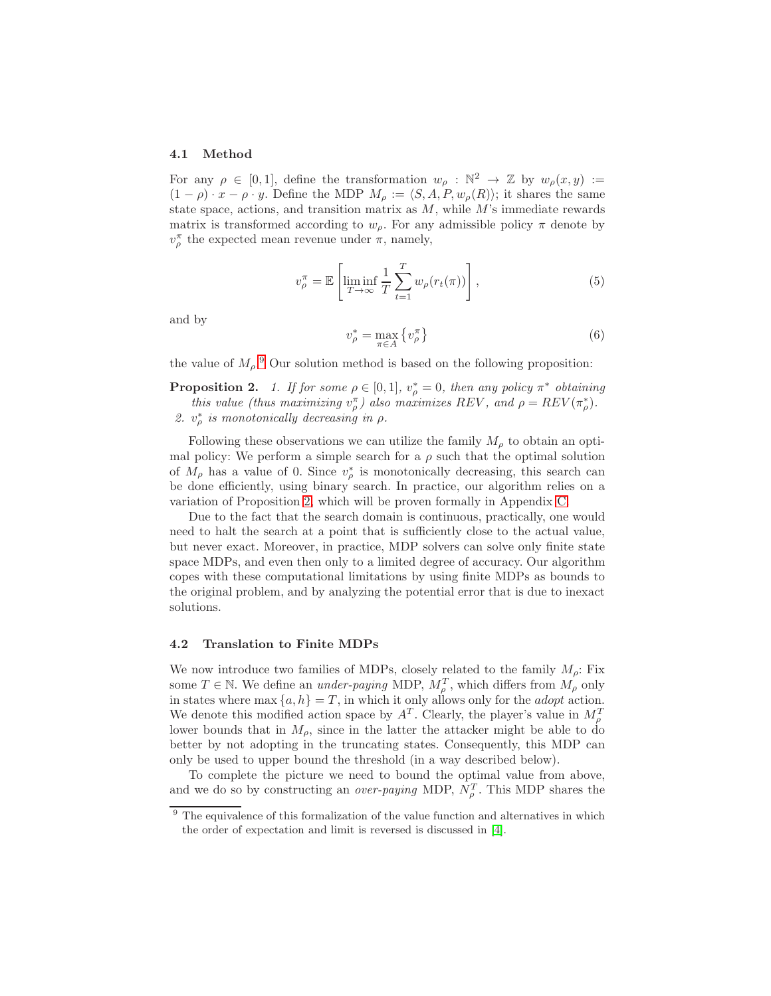#### 4.1 Method

For any  $\rho \in [0,1]$ , define the transformation  $w_{\rho}: \mathbb{N}^2 \to \mathbb{Z}$  by  $w_{\rho}(x,y) :=$  $(1 - \rho) \cdot x - \rho \cdot y$ . Define the MDP  $M_{\rho} := \langle S, A, P, w_{\rho}(R) \rangle$ ; it shares the same state space, actions, and transition matrix as  $M$ , while  $M$ 's immediate rewards matrix is transformed according to  $w<sub>o</sub>$ . For any admissible policy  $\pi$  denote by  $v_{\rho}^{\pi}$  the expected mean revenue under  $\pi$ , namely,

<span id="page-9-2"></span>
$$
v_{\rho}^{\pi} = \mathbb{E}\left[\liminf_{T \to \infty} \frac{1}{T} \sum_{t=1}^{T} w_{\rho}(r_t(\pi))\right],\tag{5}
$$

and by

<span id="page-9-3"></span><span id="page-9-1"></span>
$$
v_{\rho}^* = \max_{\pi \in A} \left\{ v_{\rho}^{\pi} \right\} \tag{6}
$$

the value of  $M_{\rho}$ <sup>[9](#page-9-0)</sup> Our solution method is based on the following proposition:

**Proposition 2.** 1. If for some  $\rho \in [0,1]$ ,  $v_{\rho}^* = 0$ , then any policy  $\pi^*$  obtaining this value (thus maximizing  $v_{\rho}^{\pi}$ ) also maximizes REV, and  $\rho = REV(\pi_{\rho}^{*})$ . 2.  $v_{\rho}^*$  is monotonically decreasing in  $\rho$ .

Following these observations we can utilize the family  $M_{\rho}$  to obtain an optimal policy: We perform a simple search for a  $\rho$  such that the optimal solution of  $M_\rho$  has a value of 0. Since  $v_\rho^*$  is monotonically decreasing, this search can be done efficiently, using binary search. In practice, our algorithm relies on a variation of Proposition [2,](#page-9-1) which will be proven formally in Appendix [C.](#page-23-0)

Due to the fact that the search domain is continuous, practically, one would need to halt the search at a point that is sufficiently close to the actual value, but never exact. Moreover, in practice, MDP solvers can solve only finite state space MDPs, and even then only to a limited degree of accuracy. Our algorithm copes with these computational limitations by using finite MDPs as bounds to the original problem, and by analyzing the potential error that is due to inexact solutions.

### 4.2 Translation to Finite MDPs

We now introduce two families of MDPs, closely related to the family  $M_o$ : Fix some  $T \in \mathbb{N}$ . We define an *under-paying* MDP,  $M_{\rho}^T$ , which differs from  $M_{\rho}$  only in states where  $\max\{a, h\} = T$ , in which it only allows only for the *adopt* action. We denote this modified action space by  $A<sup>T</sup>$ . Clearly, the player's value in  $M_{\rho}^T$ lower bounds that in  $M_{\rho}$ , since in the latter the attacker might be able to do better by not adopting in the truncating states. Consequently, this MDP can only be used to upper bound the threshold (in a way described below).

To complete the picture we need to bound the optimal value from above, and we do so by constructing an *over-paying* MDP,  $N_{\rho}^{T}$ . This MDP shares the

<span id="page-9-0"></span><sup>&</sup>lt;sup>9</sup> The equivalence of this formalization of the value function and alternatives in which the order of expectation and limit is reversed is discussed in [\[4\]](#page-20-2).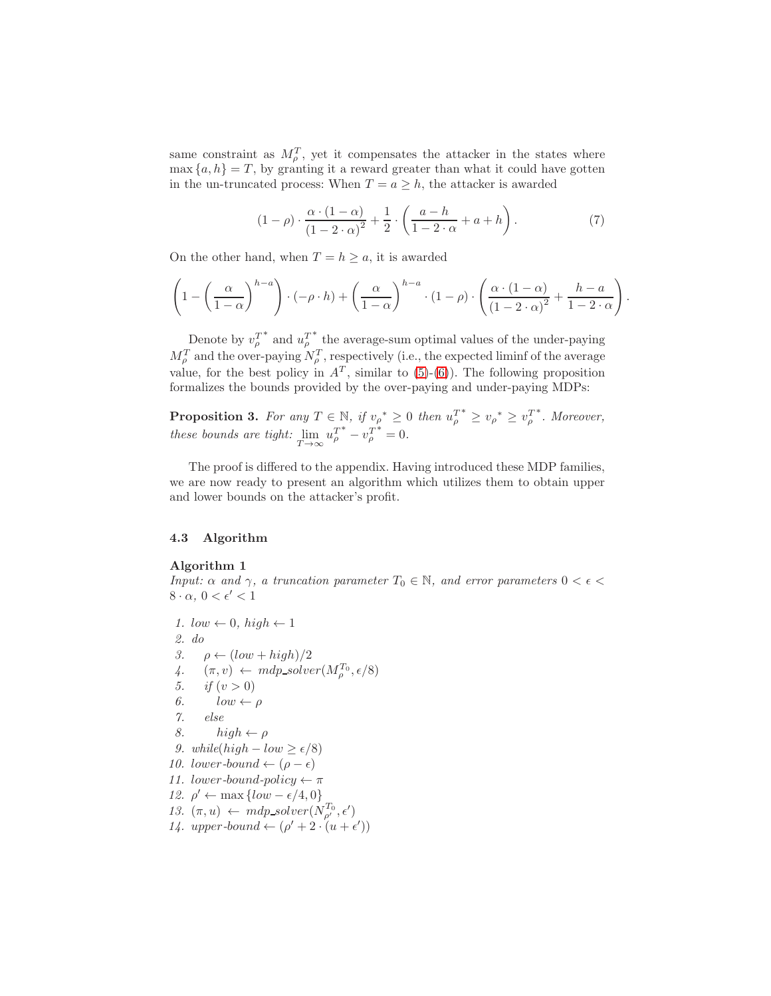same constraint as  $M_{\rho}^T$ , yet it compensates the attacker in the states where  $\max\{a, h\} = T$ , by granting it a reward greater than what it could have gotten in the un-truncated process: When  $T = a \geq h$ , the attacker is awarded

$$
(1 - \rho) \cdot \frac{\alpha \cdot (1 - \alpha)}{(1 - 2 \cdot \alpha)^2} + \frac{1}{2} \cdot \left(\frac{a - h}{1 - 2 \cdot \alpha} + a + h\right). \tag{7}
$$

On the other hand, when  $T = h \geq a$ , it is awarded

$$
\left(1-\left(\frac{\alpha}{1-\alpha}\right)^{h-a}\right)\cdot(-\rho\cdot h)+\left(\frac{\alpha}{1-\alpha}\right)^{h-a}\cdot(1-\rho)\cdot\left(\frac{\alpha\cdot(1-\alpha)}{\left(1-2\cdot\alpha\right)^2}+\frac{h-a}{1-2\cdot\alpha}\right).
$$

Denote by  $v_\rho^T$  $^*$  and  $u^T_{\rho}$ ∗ the average-sum optimal values of the under-paying  $M_{\rho}^{T}$  and the over-paying  $N_{\rho}^{T}$ , respectively (i.e., the expected liminf of the average value, for the best policy in  $A<sup>T</sup>$ , similar to [\(5\)](#page-9-2)-[\(6\)](#page-9-3)). The following proposition formalizes the bounds provided by the over-paying and under-paying MDPs:

<span id="page-10-9"></span>**Proposition 3.** For any  $T \in \mathbb{N}$ , if  $v_{\rho}^* \geq 0$  then  $u_{\rho}^T$ \*  $\geq v_\rho^* \geq v_\rho^T$ ∗ . Moreover, these bounds are tight:  $\lim_{T \to \infty} u_{\rho}^T$ \* –  $v_\rho^T$  $\mu^* = 0.$ 

The proof is differed to the appendix. Having introduced these MDP families, we are now ready to present an algorithm which utilizes them to obtain upper and lower bounds on the attacker's profit.

### <span id="page-10-5"></span>4.3 Algorithm

#### Algorithm 1

Input:  $\alpha$  and  $\gamma$ , a truncation parameter  $T_0 \in \mathbb{N}$ , and error parameters  $0 < \epsilon <$  $8 \cdot \alpha$ ,  $0 < \epsilon' < 1$ 

- <span id="page-10-4"></span><span id="page-10-3"></span><span id="page-10-2"></span><span id="page-10-1"></span><span id="page-10-0"></span>1. low  $\leftarrow 0$ , high  $\leftarrow 1$ 2. do 3.  $\rho \leftarrow (low + high)/2$ 4.  $(\pi, v) \leftarrow mdp\_solver(M_{\rho}^{T_0}, \epsilon/8)$ 5. *if*  $(v > 0)$ 6.  $low \leftarrow \rho$ 7. else 8. high  $\leftarrow \rho$ 9. while(high  $-$  low  $\geq \epsilon/8$ ) 10. lower-bound  $\leftarrow (\rho - \epsilon)$ 11. lower-bound-policy  $\leftarrow \pi$ 12.  $\rho' \leftarrow \max\{low - \epsilon/4, 0\}$ 13.  $(\pi, u) \leftarrow mdp\_solver(N_{\rho'}^{T_0}, \epsilon')$
- <span id="page-10-8"></span><span id="page-10-7"></span><span id="page-10-6"></span>14. upper-bound  $\leftarrow (\rho' + 2 \cdot (u + \epsilon'))$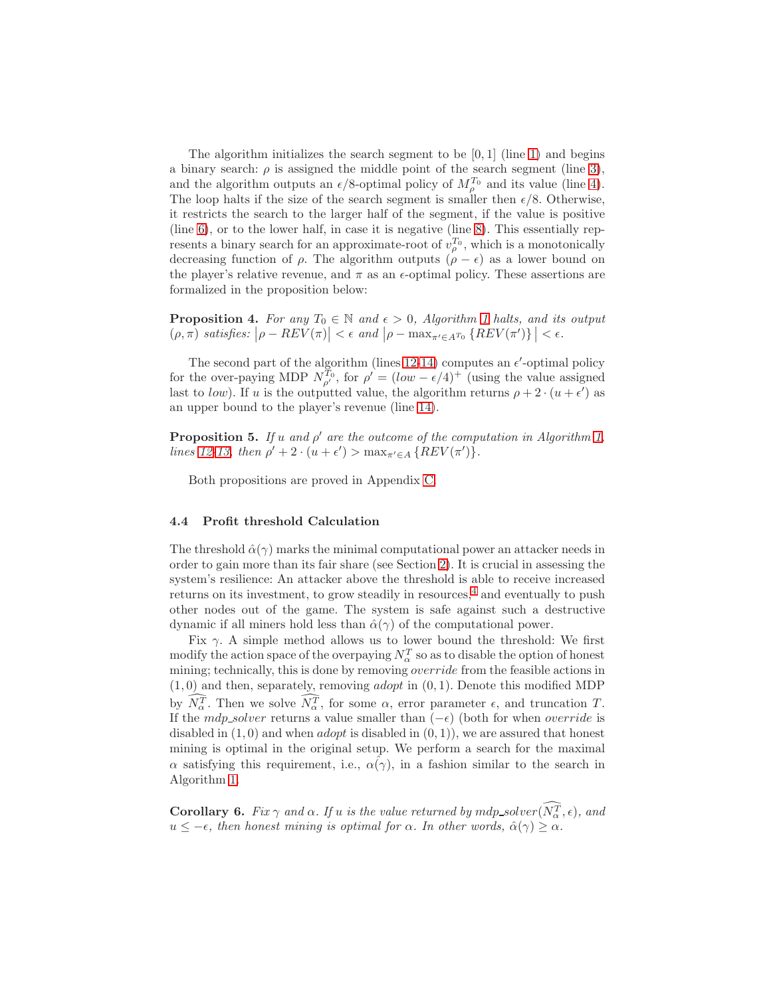The algorithm initializes the search segment to be  $[0, 1]$  (line [1\)](#page-10-0) and begins a binary search:  $\rho$  is assigned the middle point of the search segment (line [3\)](#page-10-1), and the algorithm outputs an  $\epsilon/8$ -optimal policy of  $M_{\rho}^{T_0}$  and its value (line [4\)](#page-10-2). The loop halts if the size of the search segment is smaller then  $\epsilon/8$ . Otherwise, it restricts the search to the larger half of the segment, if the value is positive (line [6\)](#page-10-3), or to the lower half, in case it is negative (line [8\)](#page-10-4). This essentially represents a binary search for an approximate-root of  $v_\rho^{T_0}$ , which is a monotonically decreasing function of  $\rho$ . The algorithm outputs  $(\rho - \epsilon)$  as a lower bound on the player's relative revenue, and  $\pi$  as an  $\epsilon$ -optimal policy. These assertions are formalized in the proposition below:

<span id="page-11-1"></span>**Proposition 4.** For any  $T_0 \in \mathbb{N}$  and  $\epsilon > 0$ , Algorithm [1](#page-10-5) halts, and its output  $(\rho, \pi)$  satisfies:  $|\rho - REV(\pi)| < \epsilon$  and  $|\rho - \max_{\pi' \in A^{T_0}} \{ REV(\pi')\}| < \epsilon$ .

The second part of the algorithm (lines  $12-14$ ) computes an  $\epsilon'$ -optimal policy for the over-paying MDP  $N_{\rho'}^{T_0}$ , for  $\rho' = (low - \epsilon/4)^+$  (using the value assigned last to low). If u is the outputted value, the algorithm returns  $\rho + 2 \cdot (u + \epsilon')$  as an upper bound to the player's revenue (line [14\)](#page-10-7).

<span id="page-11-2"></span>**Proposition 5.** If u and  $\rho'$  are the outcome of the computation in Algorithm [1,](#page-10-5) lines [12](#page-10-6)[-13,](#page-10-8) then  $\rho' + 2 \cdot (u + \epsilon') > \max_{\pi' \in A} \{ REV(\pi')\}.$ 

Both propositions are proved in Appendix [C.](#page-23-0)

### <span id="page-11-0"></span>4.4 Profit threshold Calculation

The threshold  $\hat{\alpha}(\gamma)$  marks the minimal computational power an attacker needs in order to gain more than its fair share (see Section [2\)](#page-4-0). It is crucial in assessing the system's resilience: An attacker above the threshold is able to receive increased returns on its investment, to grow steadily in resources, $4$  and eventually to push other nodes out of the game. The system is safe against such a destructive dynamic if all miners hold less than  $\hat{\alpha}(\gamma)$  of the computational power.

Fix  $\gamma$ . A simple method allows us to lower bound the threshold: We first modify the action space of the overpaying  $N_\alpha^T$  so as to disable the option of honest mining; technically, this is done by removing override from the feasible actions in  $(1, 0)$  and then, separately, removing *adopt* in  $(0, 1)$ . Denote this modified MDP by  $N_{\alpha}^T$ . Then we solve  $N_{\alpha}^T$ , for some  $\alpha$ , error parameter  $\epsilon$ , and truncation T. If the mdp\_solver returns a value smaller than  $(-\epsilon)$  (both for when *override* is disabled in  $(1, 0)$  and when *adopt* is disabled in  $(0, 1)$ , we are assured that honest mining is optimal in the original setup. We perform a search for the maximal  $\alpha$  satisfying this requirement, i.e.,  $\alpha(\gamma)$ , in a fashion similar to the search in Algorithm [1.](#page-10-5)

<span id="page-11-3"></span>**Corollary 6.** Fix  $\gamma$  and  $\alpha$ . If u is the value returned by mdp\_solver( $N_{\alpha}^T$ ,  $\epsilon$ ), and  $u \le -\epsilon$ , then honest mining is optimal for  $\alpha$ . In other words,  $\hat{\alpha}(\gamma) \ge \alpha$ .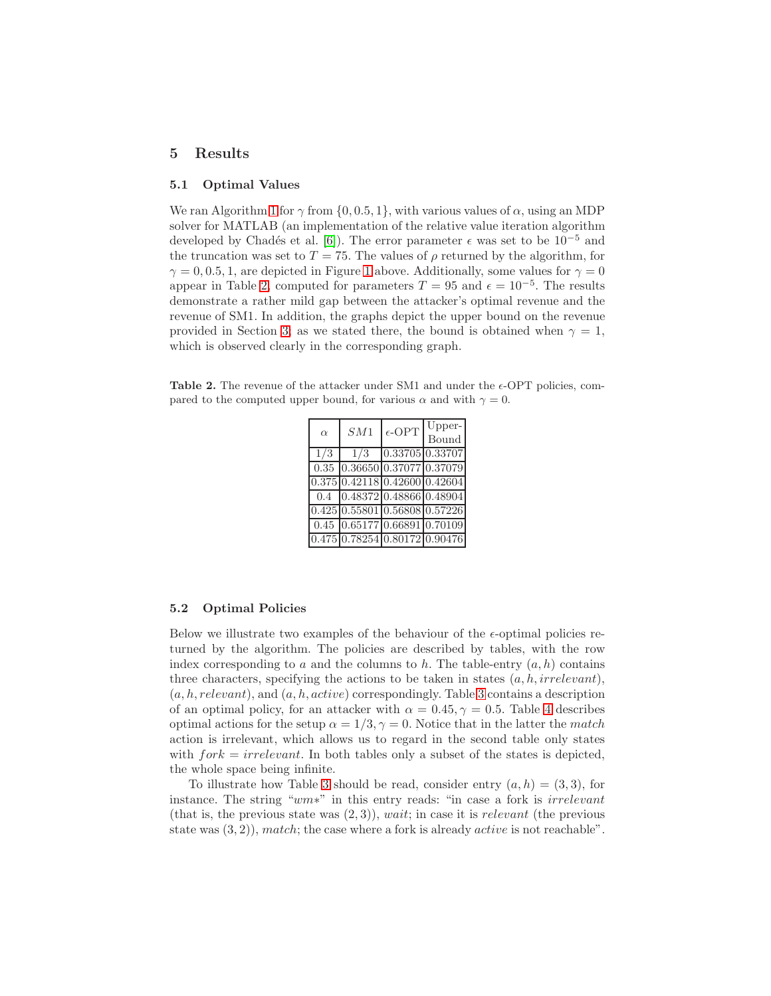### <span id="page-12-1"></span>5 Results

#### 5.1 Optimal Values

We ran Algorithm [1](#page-10-5) for  $\gamma$  from  $\{0, 0.5, 1\}$ , with various values of  $\alpha$ , using an MDP solver for MATLAB (an implementation of the relative value iteration algorithm developed by Chadés et al. [\[6\]](#page-20-3)). The error parameter  $\epsilon$  was set to be 10<sup>-5</sup> and the truncation was set to  $T = 75$ . The values of  $\rho$  returned by the algorithm, for  $\gamma = 0, 0.5, 1$  $\gamma = 0, 0.5, 1$ , are depicted in Figure 1 above. Additionally, some values for  $\gamma = 0$ appear in Table [2,](#page-12-0) computed for parameters  $T = 95$  and  $\epsilon = 10^{-5}$ . The results demonstrate a rather mild gap between the attacker's optimal revenue and the revenue of SM1. In addition, the graphs depict the upper bound on the revenue provided in Section [3;](#page-8-0) as we stated there, the bound is obtained when  $\gamma = 1$ , which is observed clearly in the corresponding graph.

<span id="page-12-0"></span>Table 2. The revenue of the attacker under SM1 and under the  $\epsilon$ -OPT policies, compared to the computed upper bound, for various  $\alpha$  and with  $\gamma = 0$ .

| $\alpha$ | SM1                                      | $\epsilon$ -OPT                           | Upper-<br>Bound |
|----------|------------------------------------------|-------------------------------------------|-----------------|
| 1/3      | 1/3                                      | $\overline{0.33705}$ $\overline{0.33707}$ |                 |
|          | 0.35 0.36650 0.37077 0.37079             |                                           |                 |
|          | $0.375$ $0.42118$ $0.42600$ $0.42604$    |                                           |                 |
|          | $0.4$ $0.48372$ 0.48866 0.48904          |                                           |                 |
|          | $0.425 \, 0.55801 \, 0.56808 \, 0.57226$ |                                           |                 |
|          | $0.45$ 0.65177 0.66891 0.70109           |                                           |                 |
|          | $0.475$ $0.78254$ $0.80172$ $0.90476$    |                                           |                 |

#### 5.2 Optimal Policies

Below we illustrate two examples of the behaviour of the  $\epsilon$ -optimal policies returned by the algorithm. The policies are described by tables, with the row index corresponding to a and the columns to h. The table-entry  $(a, h)$  contains three characters, specifying the actions to be taken in states  $(a, h, irrelevant)$ ,  $(a, h, relevant)$ , and  $(a, h, active)$  correspondingly. Table [3](#page-13-0) contains a description of an optimal policy, for an attacker with  $\alpha = 0.45, \gamma = 0.5$ . Table [4](#page-13-1) describes optimal actions for the setup  $\alpha = 1/3, \gamma = 0$ . Notice that in the latter the match action is irrelevant, which allows us to regard in the second table only states with  $fork = irrelevant$ . In both tables only a subset of the states is depicted, the whole space being infinite.

To illustrate how Table [3](#page-13-0) should be read, consider entry  $(a, h) = (3, 3)$ , for instance. The string "wm∗" in this entry reads: "in case a fork is irrelevant (that is, the previous state was  $(2, 3)$ ), wait; in case it is *relevant* (the previous state was  $(3, 2)$ , match; the case where a fork is already active is not reachable".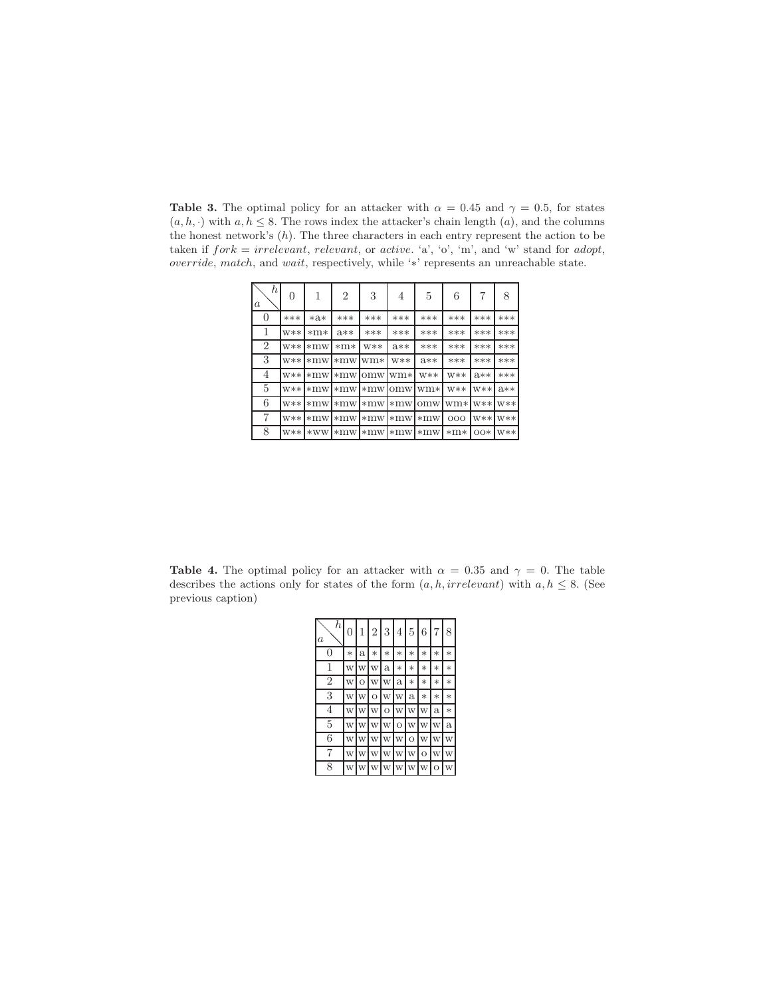<span id="page-13-0"></span>Table 3. The optimal policy for an attacker with  $\alpha = 0.45$  and  $\gamma = 0.5$ , for states  $(a, h, \cdot)$  with  $a, h \leq 8$ . The rows index the attacker's chain length  $(a)$ , and the columns the honest network's  $(h)$ . The three characters in each entry represent the action to be taken if  $fork = irrelevant$ , relevant, or active. 'a', 'o', 'm', and 'w' stand for adopt, override, match, and wait, respectively, while '∗' represents an unreachable state.

| $\hbar$<br>$\boldsymbol{a}$ | 0     | 1      | $\overline{2}$ | 3     | 4     | 5     | 6     |       | 8     |
|-----------------------------|-------|--------|----------------|-------|-------|-------|-------|-------|-------|
| 0                           | ***   | *a*    | ***            | ***   | ***   | ***   | ***   | ***   | ***   |
| 1                           | W**   | $*m*$  | $2**$          | ***   | ***   | ***   | ***   | ***   | ***   |
| 2                           | $W**$ | $*mw$  | *m*            | W**   | $2**$ | ***   | ***   | ***   | ***   |
| 3                           | $W**$ | $*m$ w | $*mw$          | wm*   | W**   | a**   | ***   | ***   | ***   |
| 4                           | W**   | $*mw$  | $*mw$          | omw   | wm∗   | W**   | $W**$ | $2**$ | ***   |
| 5                           | W**   | *mw    | $*mw$          | $*mw$ | omw   | wm∗   | $W**$ | W**   | $2**$ |
| 6                           | W**   | $*mw$  | $*mw$          | $*mw$ | $*mw$ | omw   | wm∗   | W**   | W**   |
| 7                           | $W**$ | $*mw$  | $*mw$          | $*mw$ | $*mw$ | $*mw$ | 000   | W**   | W**   |
| 8                           | W**   | $*ww$  | $*mw$          | $*mw$ | $*mw$ | $*mw$ | $*m*$ | $00*$ | W**   |

<span id="page-13-1"></span>**Table 4.** The optimal policy for an attacker with  $\alpha = 0.35$  and  $\gamma = 0$ . The table describes the actions only for states of the form  $(a, h, irrelevant)$  with  $a, h \leq 8$ . (See previous caption)

| а |        |                         | 2                       | 3      | 4       | 5      | 6      |         | 8      |
|---|--------|-------------------------|-------------------------|--------|---------|--------|--------|---------|--------|
|   | $\ast$ | $\mathbf{a}$            | $\ast$                  | $\ast$ | $\ast$  | $\ast$ | $\ast$ | ∗       | $\ast$ |
|   | W      | W                       | $\ensuremath{\text{W}}$ | a      | *       | $\ast$ | $\ast$ | $\ast$  | $\ast$ |
| 2 | W      | $\circ$                 |                         | W W    | a       | $\ast$ | ∗      | ∗       | $\ast$ |
| 3 |        | W W                     |                         |        | o w w a |        | $\ast$ | *       | ∗      |
| 4 |        |                         | wwwoww                  |        |         |        | W      | a       | ∗      |
| 5 |        |                         | wwwwowww                |        |         |        |        |         | a      |
| 6 |        |                         | wwwwwoww                |        |         |        |        |         | W      |
| 7 |        |                         | w w w w w               |        |         |        |        | O W     | W      |
| 8 | W      | $\ensuremath{\text{W}}$ | w w                     |        | w w w   |        |        | $\circ$ |        |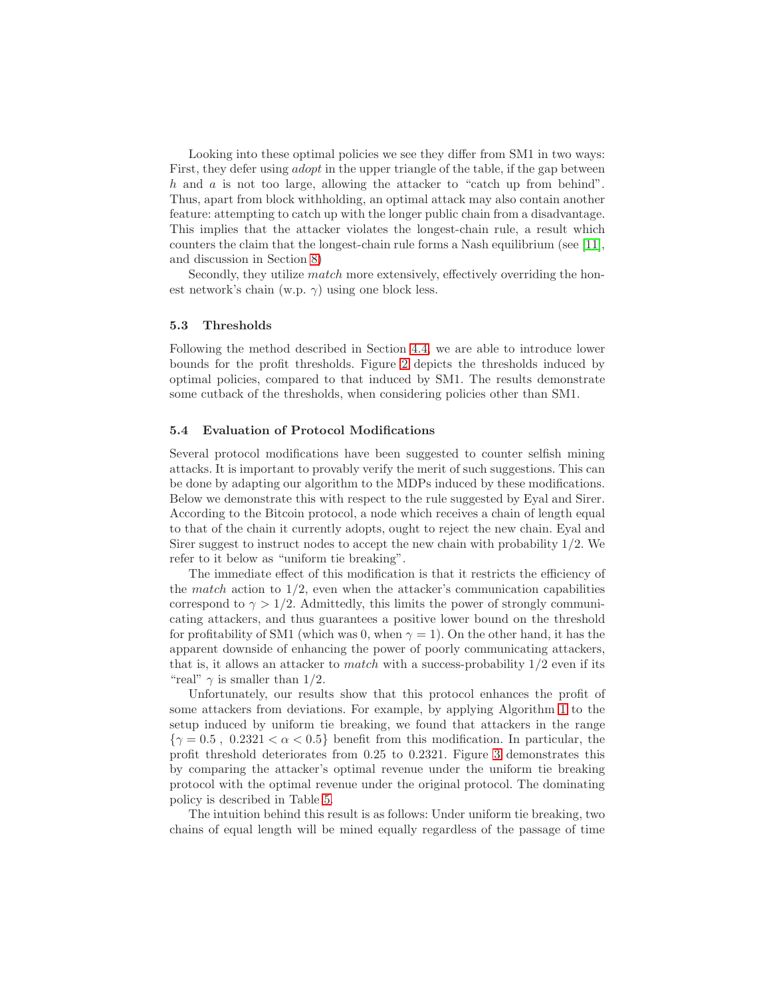Looking into these optimal policies we see they differ from SM1 in two ways: First, they defer using *adopt* in the upper triangle of the table, if the gap between h and a is not too large, allowing the attacker to "catch up from behind". Thus, apart from block withholding, an optimal attack may also contain another feature: attempting to catch up with the longer public chain from a disadvantage. This implies that the attacker violates the longest-chain rule, a result which counters the claim that the longest-chain rule forms a Nash equilibrium (see [\[11\]](#page-20-4), and discussion in Section [8\)](#page-19-0)

Secondly, they utilize *match* more extensively, effectively overriding the honest network's chain (w.p.  $\gamma$ ) using one block less.

#### 5.3 Thresholds

Following the method described in Section [4.4,](#page-11-0) we are able to introduce lower bounds for the profit thresholds. Figure [2](#page-4-1) depicts the thresholds induced by optimal policies, compared to that induced by SM1. The results demonstrate some cutback of the thresholds, when considering policies other than SM1.

#### 5.4 Evaluation of Protocol Modifications

Several protocol modifications have been suggested to counter selfish mining attacks. It is important to provably verify the merit of such suggestions. This can be done by adapting our algorithm to the MDPs induced by these modifications. Below we demonstrate this with respect to the rule suggested by Eyal and Sirer. According to the Bitcoin protocol, a node which receives a chain of length equal to that of the chain it currently adopts, ought to reject the new chain. Eyal and Sirer suggest to instruct nodes to accept the new chain with probability 1/2. We refer to it below as "uniform tie breaking".

The immediate effect of this modification is that it restricts the efficiency of the match action to  $1/2$ , even when the attacker's communication capabilities correspond to  $\gamma > 1/2$ . Admittedly, this limits the power of strongly communicating attackers, and thus guarantees a positive lower bound on the threshold for profitability of SM1 (which was 0, when  $\gamma = 1$ ). On the other hand, it has the apparent downside of enhancing the power of poorly communicating attackers, that is, it allows an attacker to *match* with a success-probability  $1/2$  even if its "real"  $\gamma$  is smaller than 1/2.

Unfortunately, our results show that this protocol enhances the profit of some attackers from deviations. For example, by applying Algorithm [1](#page-10-5) to the setup induced by uniform tie breaking, we found that attackers in the range  ${\gamma = 0.5, 0.2321 < \alpha < 0.5}$  benefit from this modification. In particular, the profit threshold deteriorates from 0.25 to 0.2321. Figure [3](#page-15-1) demonstrates this by comparing the attacker's optimal revenue under the uniform tie breaking protocol with the optimal revenue under the original protocol. The dominating policy is described in Table [5.](#page-16-0)

The intuition behind this result is as follows: Under uniform tie breaking, two chains of equal length will be mined equally regardless of the passage of time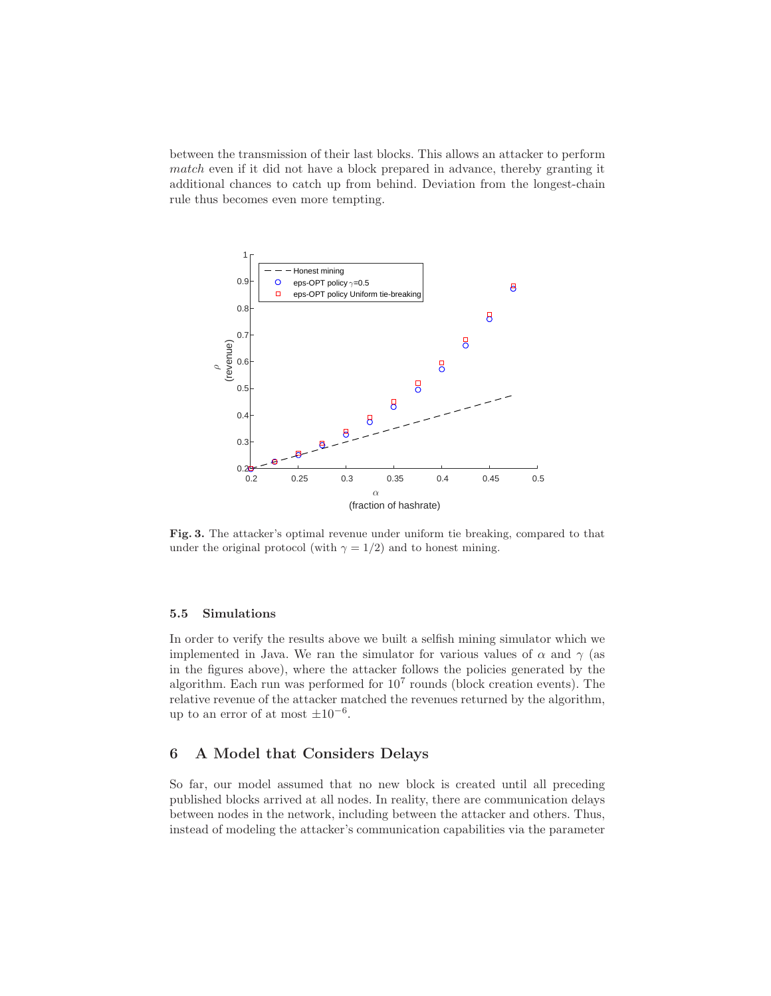between the transmission of their last blocks. This allows an attacker to perform match even if it did not have a block prepared in advance, thereby granting it additional chances to catch up from behind. Deviation from the longest-chain rule thus becomes even more tempting.



<span id="page-15-1"></span>Fig. 3. The attacker's optimal revenue under uniform tie breaking, compared to that under the original protocol (with  $\gamma = 1/2$ ) and to honest mining.

#### 5.5 Simulations

In order to verify the results above we built a selfish mining simulator which we implemented in Java. We ran the simulator for various values of  $\alpha$  and  $\gamma$  (as in the figures above), where the attacker follows the policies generated by the algorithm. Each run was performed for  $10<sup>7</sup>$  rounds (block creation events). The relative revenue of the attacker matched the revenues returned by the algorithm, up to an error of at most  $\pm 10^{-6}$ .

## <span id="page-15-0"></span>6 A Model that Considers Delays

So far, our model assumed that no new block is created until all preceding published blocks arrived at all nodes. In reality, there are communication delays between nodes in the network, including between the attacker and others. Thus, instead of modeling the attacker's communication capabilities via the parameter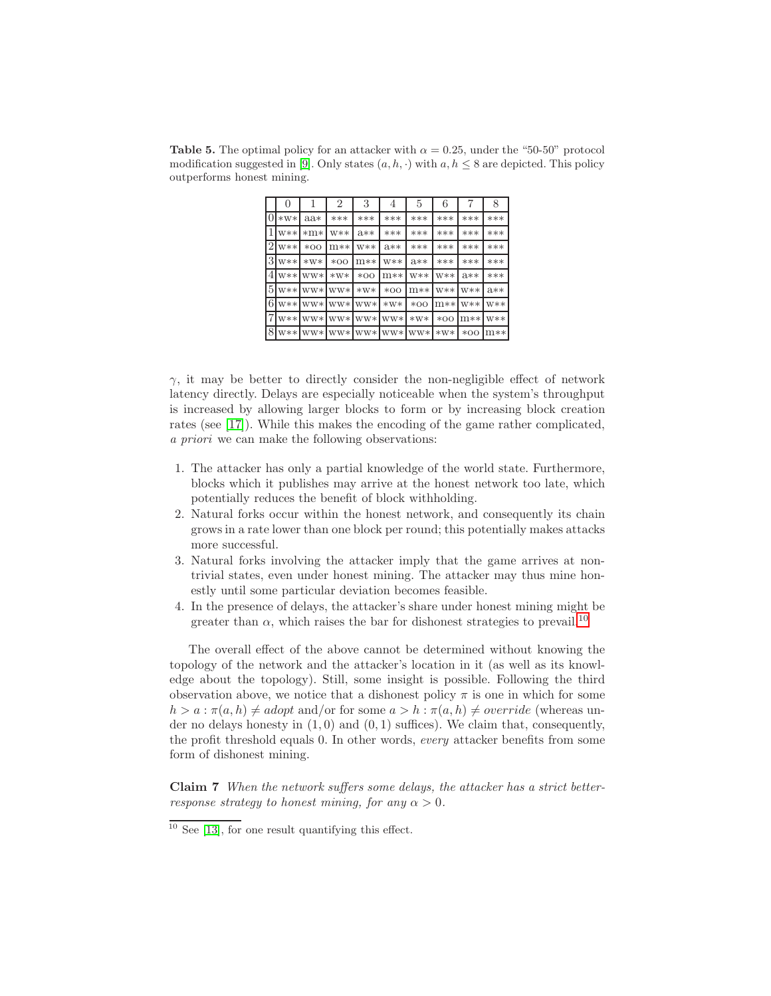<span id="page-16-0"></span>**Table 5.** The optimal policy for an attacker with  $\alpha = 0.25$ , under the "50-50" protocol modification suggested in [\[9\]](#page-20-0). Only states  $(a, h, \cdot)$  with  $a, h \leq 8$  are depicted. This policy outperforms honest mining.

|   | 0      |       | 2     | 3     | 4     | 5     | 6      |       | 8      |
|---|--------|-------|-------|-------|-------|-------|--------|-------|--------|
| 0 | $*W*$  | aa*   | ***   | ***   | ***   | ***   | ***    | ***   | ***    |
| 1 | W**    | $*m*$ | $W**$ | $2**$ | ***   | ***   | ***    | ***   | ***    |
| 2 | $W$ ** | $*00$ | $m**$ | $W**$ | $2**$ | ***   | ***    | ***   | ***    |
| 3 | $W$ ** | $*W*$ | $*00$ | $m**$ | $W**$ | $2**$ | ***    | ***   | ***    |
| 4 | W**    | ww*   | $*W*$ | $*00$ | $m**$ | W**   | W**    | $2**$ | ***    |
| 5 | W**    | WW*   | ww*   | $*W*$ | $*00$ | $m**$ | $W$ ** | $W**$ | $2**$  |
| 6 | W**    | WW*   | ww*   | WW*   | $*W*$ | $*00$ | $m**$  | W**   | $W$ ** |
| 7 | W**    | WW*   | ww*   | WW*   | WW*   | $*W*$ | $*00$  | $m**$ | $W$ ** |
| 8 | W**    | WW*   | WW*   | WW*   | WW*   | WW*   | $*W*$  | $*00$ | $m**$  |

 $\gamma$ , it may be better to directly consider the non-negligible effect of network latency directly. Delays are especially noticeable when the system's throughput is increased by allowing larger blocks to form or by increasing block creation rates (see [\[17\]](#page-21-1)). While this makes the encoding of the game rather complicated, a priori we can make the following observations:

- 1. The attacker has only a partial knowledge of the world state. Furthermore, blocks which it publishes may arrive at the honest network too late, which potentially reduces the benefit of block withholding.
- 2. Natural forks occur within the honest network, and consequently its chain grows in a rate lower than one block per round; this potentially makes attacks more successful.
- 3. Natural forks involving the attacker imply that the game arrives at nontrivial states, even under honest mining. The attacker may thus mine honestly until some particular deviation becomes feasible.
- 4. In the presence of delays, the attacker's share under honest mining might be greater than  $\alpha$ , which raises the bar for dishonest strategies to prevail.<sup>[10](#page-16-1)</sup>

The overall effect of the above cannot be determined without knowing the topology of the network and the attacker's location in it (as well as its knowledge about the topology). Still, some insight is possible. Following the third observation above, we notice that a dishonest policy  $\pi$  is one in which for some  $h > a : \pi(a, h) \neq adopt$  and/or for some  $a > h : \pi(a, h) \neq override$  (whereas under no delays honesty in  $(1, 0)$  and  $(0, 1)$  suffices). We claim that, consequently, the profit threshold equals 0. In other words, every attacker benefits from some form of dishonest mining.

Claim 7 When the network suffers some delays, the attacker has a strict betterresponse strategy to honest mining, for any  $\alpha > 0$ .

<span id="page-16-1"></span> $\frac{10}{10}$  See [\[13\]](#page-20-5), for one result quantifying this effect.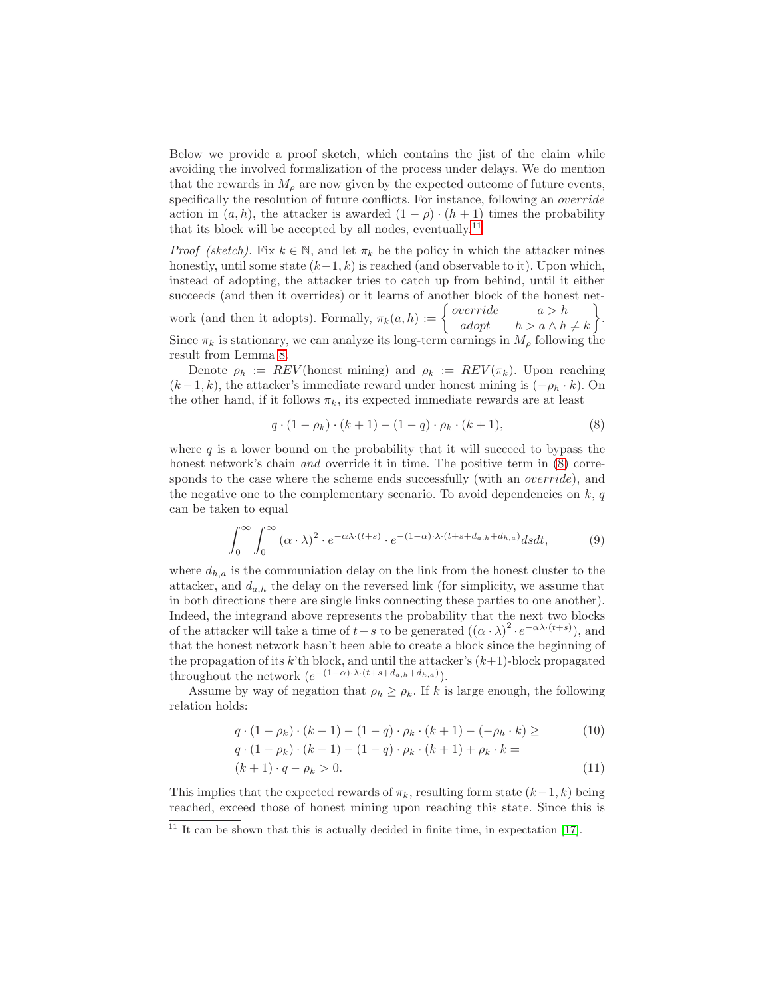Below we provide a proof sketch, which contains the jist of the claim while avoiding the involved formalization of the process under delays. We do mention that the rewards in  $M_{\rho}$  are now given by the expected outcome of future events, specifically the resolution of future conflicts. For instance, following an override action in  $(a, h)$ , the attacker is awarded  $(1 - \rho) \cdot (h + 1)$  times the probability that its block will be accepted by all nodes, eventually.<sup>[11](#page-17-0)</sup>

*Proof (sketch)*. Fix  $k \in \mathbb{N}$ , and let  $\pi_k$  be the policy in which the attacker mines honestly, until some state  $(k-1, k)$  is reached (and observable to it). Upon which, instead of adopting, the attacker tries to catch up from behind, until it either succeeds (and then it overrides) or it learns of another block of the honest network (and then it adopts). Formally,  $\pi_k(a, h) := \begin{cases} \text{override} & a > h \\ \text{cdent} & b > a \land h \end{cases}$  $adopt \t h > a \wedge h \neq k$  $\mathcal{L}$ . Since  $\pi_k$  is stationary, we can analyze its long-term earnings in  $M_\rho$  following the result from Lemma [8.](#page-23-1)

Denote  $\rho_h := REV(\text{honest mining})$  and  $\rho_k := REV(\pi_k)$ . Upon reaching  $(k-1, k)$ , the attacker's immediate reward under honest mining is  $(-\rho_h \cdot k)$ . On the other hand, if it follows  $\pi_k$ , its expected immediate rewards are at least

<span id="page-17-1"></span>
$$
q \cdot (1 - \rho_k) \cdot (k + 1) - (1 - q) \cdot \rho_k \cdot (k + 1), \tag{8}
$$

where  $q$  is a lower bound on the probability that it will succeed to bypass the honest network's chain *and* override it in time. The positive term in [\(8\)](#page-17-1) corresponds to the case where the scheme ends successfully (with an *override*), and the negative one to the complementary scenario. To avoid dependencies on  $k, q$ can be taken to equal

$$
\int_0^\infty \int_0^\infty (\alpha \cdot \lambda)^2 \cdot e^{-\alpha \lambda \cdot (t+s)} \cdot e^{-(1-\alpha) \cdot \lambda \cdot (t+s+d_{a,h}+d_{h,a})} ds dt,
$$
 (9)

where  $d_{h,a}$  is the communiation delay on the link from the honest cluster to the attacker, and  $d_{a,h}$  the delay on the reversed link (for simplicity, we assume that in both directions there are single links connecting these parties to one another). Indeed, the integrand above represents the probability that the next two blocks of the attacker will take a time of  $t+s$  to be generated  $((\alpha \cdot \lambda)^2 \cdot e^{-\alpha \lambda \cdot (t+s)})$ , and that the honest network hasn't been able to create a block since the beginning of the propagation of its k'th block, and until the attacker's  $(k+1)$ -block propagated throughout the network  $(e^{-(1-\alpha)\cdot\lambda \cdot (t+s+d_{a,h}+d_{h,a})}).$ 

Assume by way of negation that  $\rho_h \geq \rho_k$ . If k is large enough, the following relation holds:

$$
q \cdot (1 - \rho_k) \cdot (k + 1) - (1 - q) \cdot \rho_k \cdot (k + 1) - (-\rho_h \cdot k) \geq (10)
$$

$$
q \cdot (1 - \rho_k) \cdot (k+1) - (1 - q) \cdot \rho_k \cdot (k+1) + \rho_k \cdot k =
$$
  
(k+1) \cdot q - \rho\_k > 0. (11)

This implies that the expected rewards of  $\pi_k$ , resulting form state  $(k-1, k)$  being reached, exceed those of honest mining upon reaching this state. Since this is

<span id="page-17-0"></span> $\frac{11}{11}$  It can be shown that this is actually decided in finite time, in expectation [\[17\]](#page-21-1).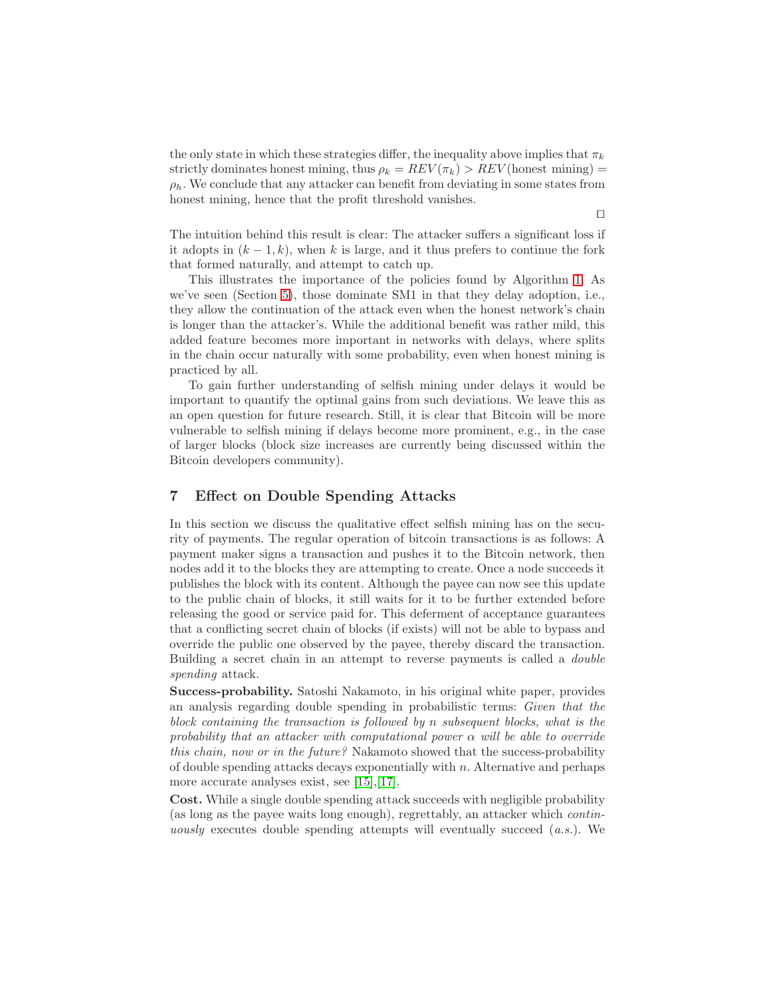the only state in which these strategies differ, the inequality above implies that  $\pi_k$ strictly dominates honest mining, thus  $\rho_k = REV(\pi_k) > REV(\text{honest mining}) =$  $\rho_h$ . We conclude that any attacker can benefit from deviating in some states from honest mining, hence that the profit threshold vanishes.

The intuition behind this result is clear: The attacker suffers a significant loss if it adopts in  $(k-1, k)$ , when k is large, and it thus prefers to continue the fork that formed naturally, and attempt to catch up.

This illustrates the importance of the policies found by Algorithm [1.](#page-10-5) As we've seen (Section [5\)](#page-12-1), those dominate SM1 in that they delay adoption, i.e., they allow the continuation of the attack even when the honest network's chain is longer than the attacker's. While the additional benefit was rather mild, this added feature becomes more important in networks with delays, where splits in the chain occur naturally with some probability, even when honest mining is practiced by all.

To gain further understanding of selfish mining under delays it would be important to quantify the optimal gains from such deviations. We leave this as an open question for future research. Still, it is clear that Bitcoin will be more vulnerable to selfish mining if delays become more prominent, e.g., in the case of larger blocks (block size increases are currently being discussed within the Bitcoin developers community).

### <span id="page-18-0"></span>7 Effect on Double Spending Attacks

In this section we discuss the qualitative effect selfish mining has on the security of payments. The regular operation of bitcoin transactions is as follows: A payment maker signs a transaction and pushes it to the Bitcoin network, then nodes add it to the blocks they are attempting to create. Once a node succeeds it publishes the block with its content. Although the payee can now see this update to the public chain of blocks, it still waits for it to be further extended before releasing the good or service paid for. This deferment of acceptance guarantees that a conflicting secret chain of blocks (if exists) will not be able to bypass and override the public one observed by the payee, thereby discard the transaction. Building a secret chain in an attempt to reverse payments is called a double spending attack.

Success-probability. Satoshi Nakamoto, in his original white paper, provides an analysis regarding double spending in probabilistic terms: Given that the block containing the transaction is followed by n subsequent blocks, what is the probability that an attacker with computational power  $\alpha$  will be able to override this chain, now or in the future? Nakamoto showed that the success-probability of double spending attacks decays exponentially with  $n$ . Alternative and perhaps more accurate analyses exist, see [\[15\]](#page-21-2),[\[17\]](#page-21-1).

Cost. While a single double spending attack succeeds with negligible probability (as long as the payee waits long enough), regrettably, an attacker which continuously executes double spending attempts will eventually succeed  $(a.s.).$  We

⊓⊔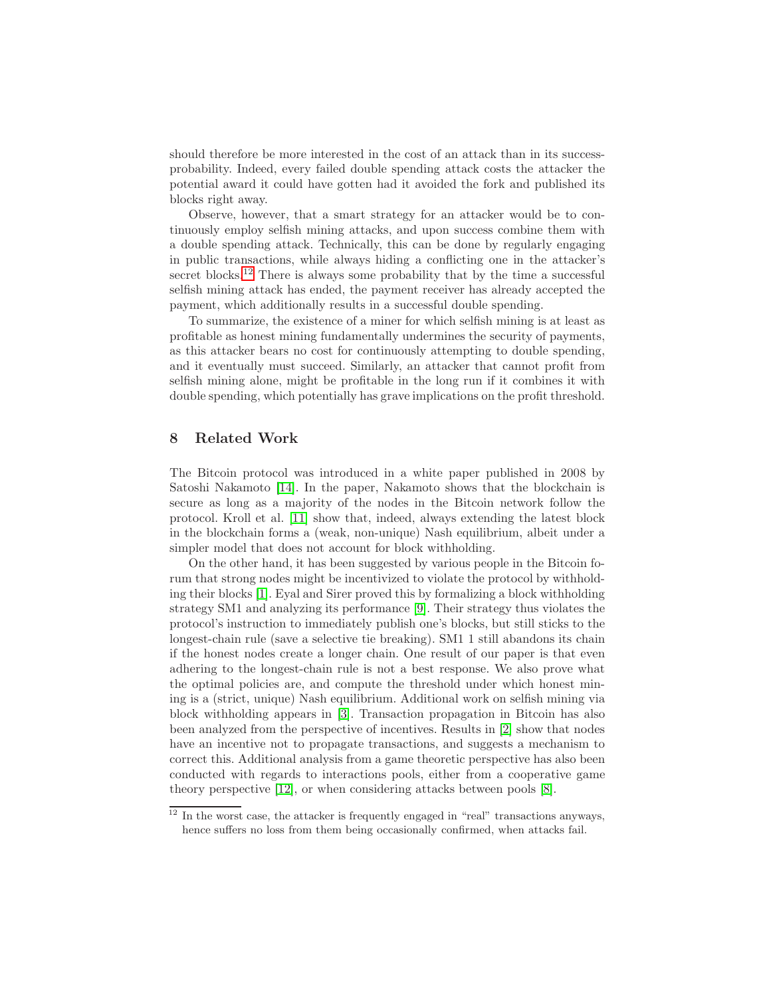should therefore be more interested in the cost of an attack than in its successprobability. Indeed, every failed double spending attack costs the attacker the potential award it could have gotten had it avoided the fork and published its blocks right away.

Observe, however, that a smart strategy for an attacker would be to continuously employ selfish mining attacks, and upon success combine them with a double spending attack. Technically, this can be done by regularly engaging in public transactions, while always hiding a conflicting one in the attacker's secret blocks.<sup>[12](#page-19-1)</sup> There is always some probability that by the time a successful selfish mining attack has ended, the payment receiver has already accepted the payment, which additionally results in a successful double spending.

To summarize, the existence of a miner for which selfish mining is at least as profitable as honest mining fundamentally undermines the security of payments, as this attacker bears no cost for continuously attempting to double spending, and it eventually must succeed. Similarly, an attacker that cannot profit from selfish mining alone, might be profitable in the long run if it combines it with double spending, which potentially has grave implications on the profit threshold.

### <span id="page-19-0"></span>8 Related Work

The Bitcoin protocol was introduced in a white paper published in 2008 by Satoshi Nakamoto [\[14\]](#page-20-1). In the paper, Nakamoto shows that the blockchain is secure as long as a majority of the nodes in the Bitcoin network follow the protocol. Kroll et al. [\[11\]](#page-20-4) show that, indeed, always extending the latest block in the blockchain forms a (weak, non-unique) Nash equilibrium, albeit under a simpler model that does not account for block withholding.

On the other hand, it has been suggested by various people in the Bitcoin forum that strong nodes might be incentivized to violate the protocol by withholding their blocks [\[1\]](#page-20-6). Eyal and Sirer proved this by formalizing a block withholding strategy SM1 and analyzing its performance [\[9\]](#page-20-0). Their strategy thus violates the protocol's instruction to immediately publish one's blocks, but still sticks to the longest-chain rule (save a selective tie breaking). SM1 1 still abandons its chain if the honest nodes create a longer chain. One result of our paper is that even adhering to the longest-chain rule is not a best response. We also prove what the optimal policies are, and compute the threshold under which honest mining is a (strict, unique) Nash equilibrium. Additional work on selfish mining via block withholding appears in [\[3\]](#page-20-7). Transaction propagation in Bitcoin has also been analyzed from the perspective of incentives. Results in [\[2\]](#page-20-8) show that nodes have an incentive not to propagate transactions, and suggests a mechanism to correct this. Additional analysis from a game theoretic perspective has also been conducted with regards to interactions pools, either from a cooperative game theory perspective [\[12\]](#page-20-9), or when considering attacks between pools [\[8\]](#page-20-10).

<span id="page-19-1"></span> $12$  In the worst case, the attacker is frequently engaged in "real" transactions anyways, hence suffers no loss from them being occasionally confirmed, when attacks fail.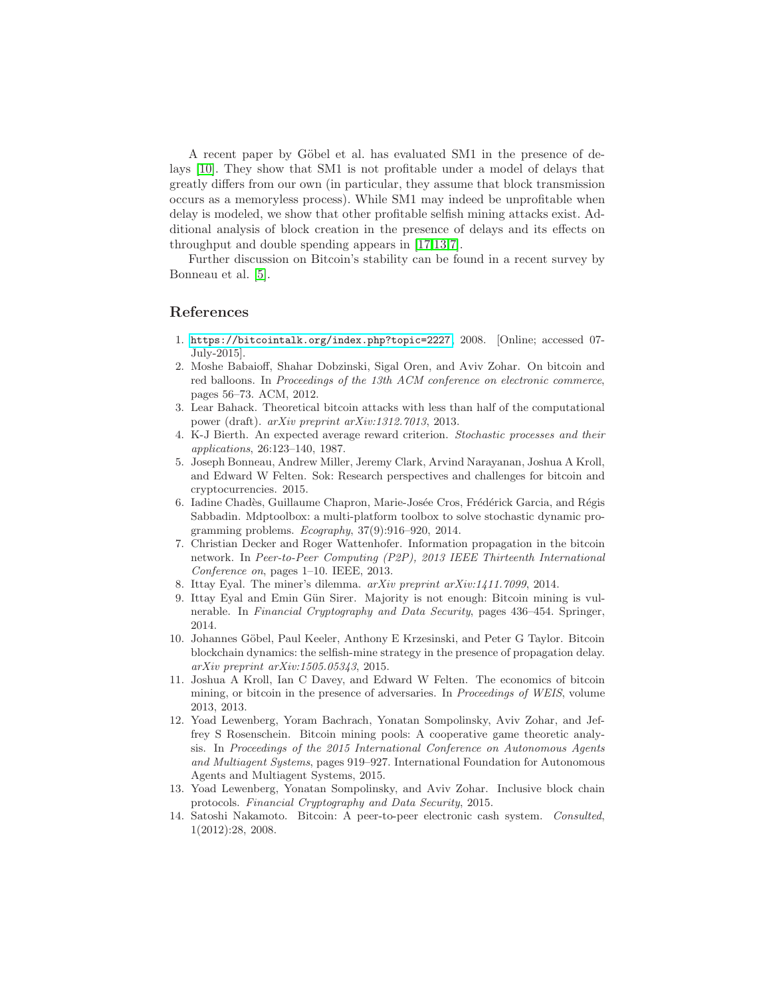A recent paper by Göbel et al. has evaluated SM1 in the presence of delays [\[10\]](#page-20-11). They show that SM1 is not profitable under a model of delays that greatly differs from our own (in particular, they assume that block transmission occurs as a memoryless process). While SM1 may indeed be unprofitable when delay is modeled, we show that other profitable selfish mining attacks exist. Additional analysis of block creation in the presence of delays and its effects on throughput and double spending appears in [\[17,](#page-21-1)[13](#page-20-5)[,7\]](#page-20-12).

Further discussion on Bitcoin's stability can be found in a recent survey by Bonneau et al. [\[5\]](#page-20-13).

### <span id="page-20-6"></span>References

- 1. [https://bitcointalk.org/index.php?topic=2227](https://bitcointalk.org/index.php?topic=2227 ), 2008. [Online; accessed 07- July-2015].
- <span id="page-20-8"></span>2. Moshe Babaioff, Shahar Dobzinski, Sigal Oren, and Aviv Zohar. On bitcoin and red balloons. In *Proceedings of the 13th ACM conference on electronic commerce*, pages 56–73. ACM, 2012.
- <span id="page-20-7"></span>3. Lear Bahack. Theoretical bitcoin attacks with less than half of the computational power (draft). *arXiv preprint arXiv:1312.7013*, 2013.
- <span id="page-20-2"></span>4. K-J Bierth. An expected average reward criterion. *Stochastic processes and their applications*, 26:123–140, 1987.
- <span id="page-20-13"></span>5. Joseph Bonneau, Andrew Miller, Jeremy Clark, Arvind Narayanan, Joshua A Kroll, and Edward W Felten. Sok: Research perspectives and challenges for bitcoin and cryptocurrencies. 2015.
- <span id="page-20-3"></span>6. Iadine Chadès, Guillaume Chapron, Marie-Josée Cros, Frédérick Garcia, and Régis Sabbadin. Mdptoolbox: a multi-platform toolbox to solve stochastic dynamic programming problems. *Ecography*, 37(9):916–920, 2014.
- <span id="page-20-12"></span>7. Christian Decker and Roger Wattenhofer. Information propagation in the bitcoin network. In *Peer-to-Peer Computing (P2P), 2013 IEEE Thirteenth International Conference on*, pages 1–10. IEEE, 2013.
- <span id="page-20-10"></span><span id="page-20-0"></span>8. Ittay Eyal. The miner's dilemma. *arXiv preprint arXiv:1411.7099*, 2014.
- 9. Ittay Eyal and Emin Gün Sirer. Majority is not enough: Bitcoin mining is vulnerable. In *Financial Cryptography and Data Security*, pages 436–454. Springer, 2014.
- <span id="page-20-11"></span>10. Johannes G¨obel, Paul Keeler, Anthony E Krzesinski, and Peter G Taylor. Bitcoin blockchain dynamics: the selfish-mine strategy in the presence of propagation delay. *arXiv preprint arXiv:1505.05343*, 2015.
- <span id="page-20-4"></span>11. Joshua A Kroll, Ian C Davey, and Edward W Felten. The economics of bitcoin mining, or bitcoin in the presence of adversaries. In *Proceedings of WEIS*, volume 2013, 2013.
- <span id="page-20-9"></span>12. Yoad Lewenberg, Yoram Bachrach, Yonatan Sompolinsky, Aviv Zohar, and Jeffrey S Rosenschein. Bitcoin mining pools: A cooperative game theoretic analysis. In *Proceedings of the 2015 International Conference on Autonomous Agents and Multiagent Systems*, pages 919–927. International Foundation for Autonomous Agents and Multiagent Systems, 2015.
- <span id="page-20-5"></span>13. Yoad Lewenberg, Yonatan Sompolinsky, and Aviv Zohar. Inclusive block chain protocols. *Financial Cryptography and Data Security*, 2015.
- <span id="page-20-1"></span>14. Satoshi Nakamoto. Bitcoin: A peer-to-peer electronic cash system. *Consulted*, 1(2012):28, 2008.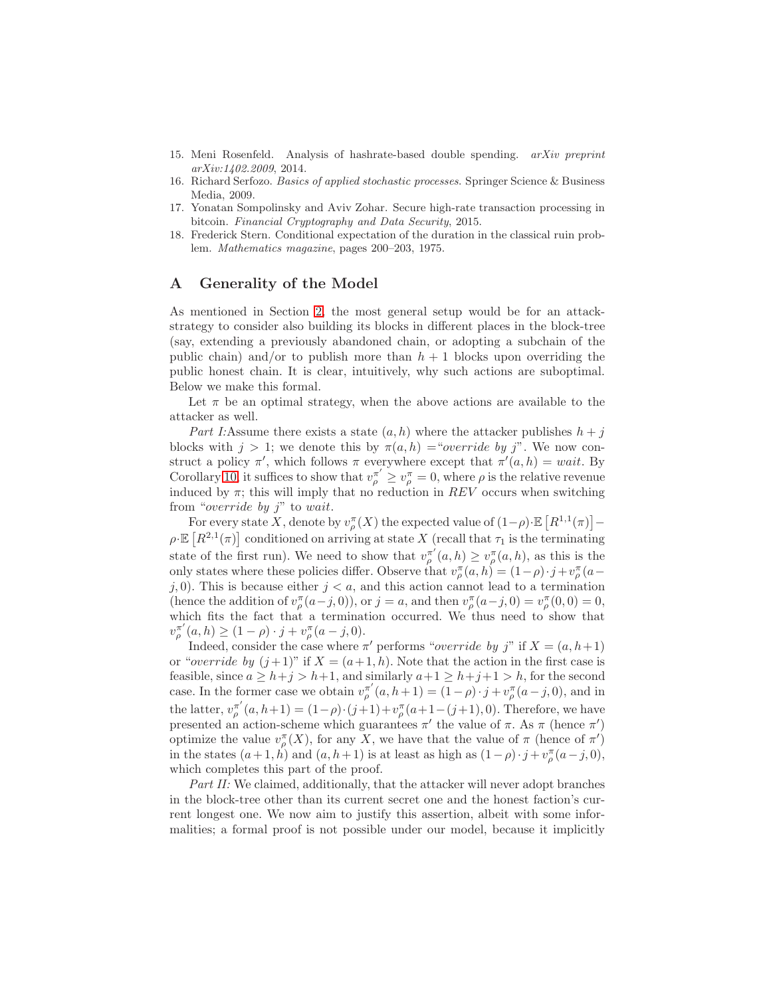- <span id="page-21-2"></span>15. Meni Rosenfeld. Analysis of hashrate-based double spending. *arXiv preprint arXiv:1402.2009*, 2014.
- <span id="page-21-3"></span><span id="page-21-1"></span>16. Richard Serfozo. *Basics of applied stochastic processes*. Springer Science & Business Media, 2009.
- <span id="page-21-4"></span>17. Yonatan Sompolinsky and Aviv Zohar. Secure high-rate transaction processing in bitcoin. *Financial Cryptography and Data Security*, 2015.
- 18. Frederick Stern. Conditional expectation of the duration in the classical ruin problem. *Mathematics magazine*, pages 200–203, 1975.

### <span id="page-21-0"></span>A Generality of the Model

As mentioned in Section [2,](#page-4-0) the most general setup would be for an attackstrategy to consider also building its blocks in different places in the block-tree (say, extending a previously abandoned chain, or adopting a subchain of the public chain) and/or to publish more than  $h + 1$  blocks upon overriding the public honest chain. It is clear, intuitively, why such actions are suboptimal. Below we make this formal.

Let  $\pi$  be an optimal strategy, when the above actions are available to the attacker as well.

Part I:Assume there exists a state  $(a, h)$  where the attacker publishes  $h + j$ blocks with  $j > 1$ ; we denote this by  $\pi(a, h) = \text{``override by j''}.$  We now construct a policy  $\pi'$ , which follows  $\pi$  everywhere except that  $\pi'(a, h) = wait$ . By Corollary [10,](#page-24-0) it suffices to show that  $v^{\pi'}_{\rho} \ge v^{\pi}_{\rho} = 0$ , where  $\rho$  is the relative revenue induced by  $\pi$ ; this will imply that no reduction in REV occurs when switching from "*override by*  $i$ " to *wait*.

For every state X, denote by  $v^{\pi}_{\rho}(X)$  the expected value of  $(1-\rho)\cdot \mathbb{E}\left[R^{1,1}(\pi)\right]$  –  $\rho \mathbb{E}\left[R^{2,1}(\pi)\right]$  conditioned on arriving at state X (recall that  $\tau_1$  is the terminating state of the first run). We need to show that  $v^{\pi'}_{\rho}(a, h) \geq v^{\pi}_{\rho}(a, h)$ , as this is the only states where these policies differ. Observe that  $v_\rho^\pi(a, h) = (1 - \rho) \cdot j + v_\rho^\pi(a$ j, 0). This is because either  $j < a$ , and this action cannot lead to a termination (hence the addition of  $v_{\rho}^{\pi}(a-j,0)$ ), or  $j = a$ , and then  $v_{\rho}^{\pi}(a-j,0) = v_{\rho}^{\pi}(0,0) = 0$ , which fits the fact that a termination occurred. We thus need to show that  $v_{\rho}^{\pi'}(a, h) \ge (1 - \rho) \cdot j + v_{\rho}^{\pi}(a - j, 0).$ 

Indeed, consider the case where  $\pi'$  performs "override by j" if  $X = (a, h+1)$ or "*override by*  $(j+1)$ " if  $X = (a+1, h)$ . Note that the action in the first case is feasible, since  $a \ge h+j > h+1$ , and similarly  $a+1 \ge h+j+1 > h$ , for the second case. In the former case we obtain  $v_p^{\pi'}(a, h+1) = (1-\rho) \cdot j + v_p^{\pi}(a-j, 0)$ , and in the latter,  $v_{\rho}^{\pi'}(a, h+1) = (1-\rho) \cdot (j+1) + v_{\rho}^{\pi}(a+1-(j+1), 0)$ . Therefore, we have presented an action-scheme which guarantees  $\pi'$  the value of  $\pi$ . As  $\pi$  (hence  $\pi'$ ) optimize the value  $v^{\pi}_{\rho}(X)$ , for any X, we have that the value of  $\pi$  (hence of  $\pi'$ ) in the states  $(a+1, \dot{h})$  and  $(a, h+1)$  is at least as high as  $(1-\rho) \cdot j + v^{\pi}_{\rho}(a-j, 0)$ , which completes this part of the proof.

Part II: We claimed, additionally, that the attacker will never adopt branches in the block-tree other than its current secret one and the honest faction's current longest one. We now aim to justify this assertion, albeit with some informalities; a formal proof is not possible under our model, because it implicitly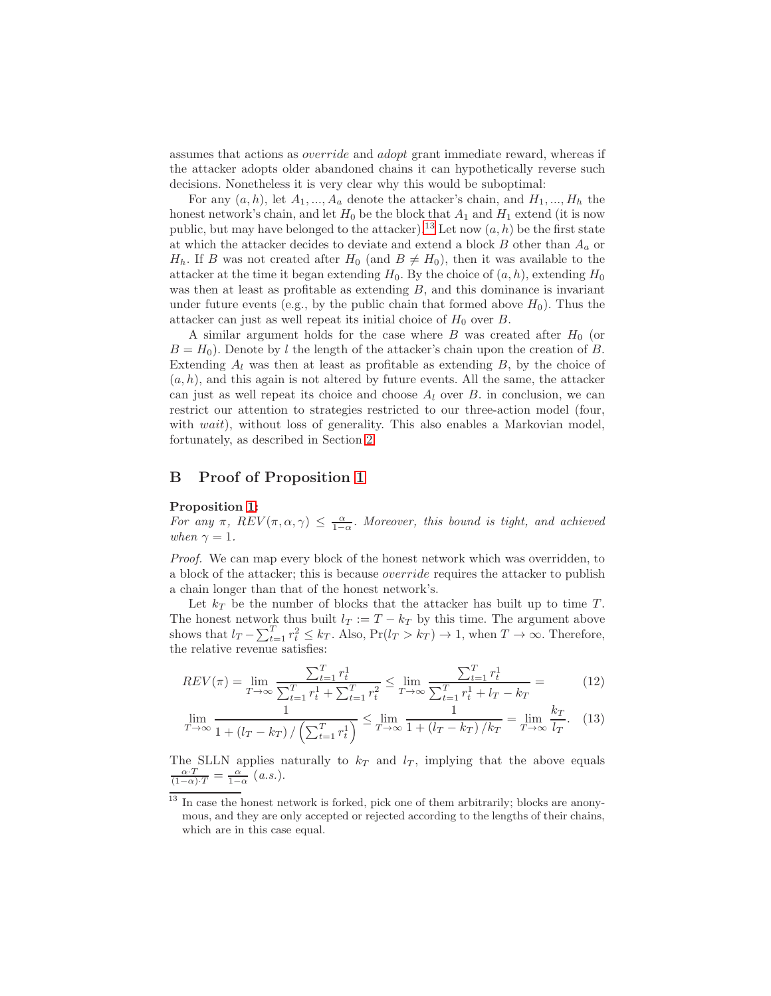assumes that actions as override and adopt grant immediate reward, whereas if the attacker adopts older abandoned chains it can hypothetically reverse such decisions. Nonetheless it is very clear why this would be suboptimal:

For any  $(a, h)$ , let  $A_1, ..., A_a$  denote the attacker's chain, and  $H_1, ..., H_h$  the honest network's chain, and let  $H_0$  be the block that  $A_1$  and  $H_1$  extend (it is now public, but may have belonged to the attacker).<sup>[13](#page-22-1)</sup> Let now  $(a, h)$  be the first state at which the attacker decides to deviate and extend a block  $B$  other than  $A_a$  or  $H_h$ . If B was not created after  $H_0$  (and  $B \neq H_0$ ), then it was available to the attacker at the time it began extending  $H_0$ . By the choice of  $(a, h)$ , extending  $H_0$ was then at least as profitable as extending  $B$ , and this dominance is invariant under future events (e.g., by the public chain that formed above  $H_0$ ). Thus the attacker can just as well repeat its initial choice of  $H_0$  over B.

A similar argument holds for the case where B was created after  $H_0$  (or  $B = H_0$ ). Denote by l the length of the attacker's chain upon the creation of B. Extending  $A_l$  was then at least as profitable as extending  $B$ , by the choice of  $(a, h)$ , and this again is not altered by future events. All the same, the attacker can just as well repeat its choice and choose  $A_l$  over B. in conclusion, we can restrict our attention to strategies restricted to our three-action model (four, with *wait*), without loss of generality. This also enables a Markovian model, fortunately, as described in Section [2.](#page-4-0)

### <span id="page-22-0"></span>B Proof of Proposition [1](#page-8-3)

#### Proposition [1:](#page-8-3)

For any  $\pi$ ,  $REV(\pi, \alpha, \gamma) \leq \frac{\alpha}{1-\alpha}$ . Moreover, this bound is tight, and achieved when  $\gamma = 1$ .

Proof. We can map every block of the honest network which was overridden, to a block of the attacker; this is because override requires the attacker to publish a chain longer than that of the honest network's.

Let  $k_T$  be the number of blocks that the attacker has built up to time T. The honest network thus built  $l_T := T - k_T$  by this time. The argument above shows that  $l_T - \sum_{t=1}^T r_t^2 \leq k_T$ . Also,  $Pr(l_T > k_T) \to 1$ , when  $T \to \infty$ . Therefore, the relative revenue satisfies:

<span id="page-22-2"></span>
$$
REV(\pi) = \lim_{T \to \infty} \frac{\sum_{t=1}^T r_t^1}{\sum_{t=1}^T r_t^1 + \sum_{t=1}^T r_t^2} \le \lim_{T \to \infty} \frac{\sum_{t=1}^T r_t^1}{\sum_{t=1}^T r_t^1 + l_T - k_T} = \tag{12}
$$

<span id="page-22-3"></span>
$$
\lim_{T \to \infty} \frac{1}{1 + (l_T - k_T) / (\sum_{t=1}^T r_t^1)} \le \lim_{T \to \infty} \frac{1}{1 + (l_T - k_T) / k_T} = \lim_{T \to \infty} \frac{k_T}{l_T}.
$$
 (13)

The SLLN applies naturally to  $k_T$  and  $l_T$ , implying that the above equals  $\frac{\alpha \cdot T}{(1-\alpha)\cdot T} = \frac{\alpha}{1-\alpha}$  (*a.s.*).

<span id="page-22-1"></span><sup>&</sup>lt;sup>13</sup> In case the honest network is forked, pick one of them arbitrarily; blocks are anonymous, and they are only accepted or rejected according to the lengths of their chains, which are in this case equal.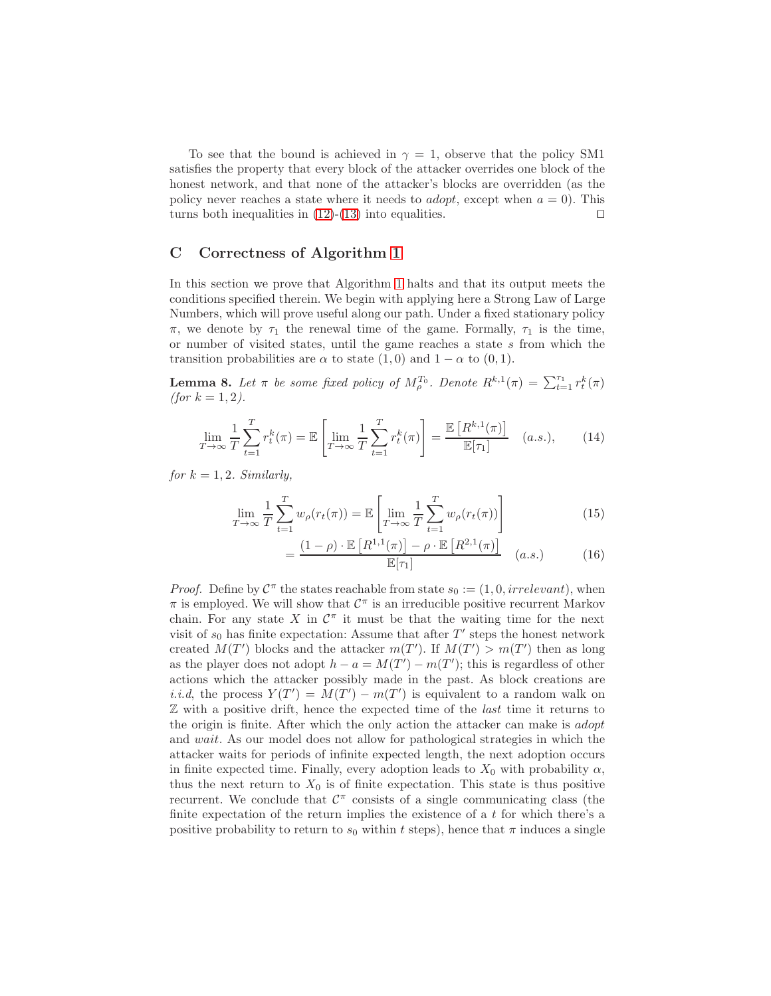To see that the bound is achieved in  $\gamma = 1$ , observe that the policy SM1 satisfies the property that every block of the attacker overrides one block of the honest network, and that none of the attacker's blocks are overridden (as the policy never reaches a state where it needs to *adopt*, except when  $a = 0$ ). This turns both inequalities in [\(12\)](#page-22-2)-[\(13\)](#page-22-3) into equalities. □

### <span id="page-23-0"></span>C Correctness of Algorithm [1](#page-10-5)

In this section we prove that Algorithm [1](#page-10-5) halts and that its output meets the conditions specified therein. We begin with applying here a Strong Law of Large Numbers, which will prove useful along our path. Under a fixed stationary policy  $\pi$ , we denote by  $\tau_1$  the renewal time of the game. Formally,  $\tau_1$  is the time, or number of visited states, until the game reaches a state s from which the transition probabilities are  $\alpha$  to state (1,0) and  $1 - \alpha$  to (0,1).

**Lemma 8.** Let  $\pi$  be some fixed policy of  $M_{\rho}^{T_0}$ . Denote  $R^{k,1}(\pi) = \sum_{t=1}^{T_1} r_t^k(\pi)$ (for  $k = 1, 2$ ).

$$
\lim_{T \to \infty} \frac{1}{T} \sum_{t=1}^{T} r_t^k(\pi) = \mathbb{E} \left[ \lim_{T \to \infty} \frac{1}{T} \sum_{t=1}^{T} r_t^k(\pi) \right] = \frac{\mathbb{E} \left[ R^{k,1}(\pi) \right]}{\mathbb{E}[\tau_1]} \quad (a.s.), \tag{14}
$$

for  $k = 1, 2$ . Similarly,

$$
\lim_{T \to \infty} \frac{1}{T} \sum_{t=1}^{T} w_{\rho}(r_t(\pi)) = \mathbb{E} \left[ \lim_{T \to \infty} \frac{1}{T} \sum_{t=1}^{T} w_{\rho}(r_t(\pi)) \right]
$$
(15)

<span id="page-23-3"></span><span id="page-23-2"></span><span id="page-23-1"></span>
$$
= \frac{(1-\rho)\cdot \mathbb{E}\left[R^{1,1}(\pi)\right] - \rho\cdot \mathbb{E}\left[R^{2,1}(\pi)\right]}{\mathbb{E}[\tau_1]} \quad (a.s.) \tag{16}
$$

*Proof.* Define by  $C^{\pi}$  the states reachable from state  $s_0 := (1, 0, irrelevant)$ , when  $\pi$  is employed. We will show that  $\mathcal{C}^{\pi}$  is an irreducible positive recurrent Markov chain. For any state X in  $\mathcal{C}^{\pi}$  it must be that the waiting time for the next visit of  $s_0$  has finite expectation: Assume that after  $T'$  steps the honest network created  $M(T')$  blocks and the attacker  $m(T')$ . If  $M(T') > m(T')$  then as long as the player does not adopt  $h - a = M(T') - m(T')$ ; this is regardless of other actions which the attacker possibly made in the past. As block creations are *i.i.d,* the process  $Y(T') = M(T') - m(T')$  is equivalent to a random walk on Z with a positive drift, hence the expected time of the last time it returns to the origin is finite. After which the only action the attacker can make is adopt and wait. As our model does not allow for pathological strategies in which the attacker waits for periods of infinite expected length, the next adoption occurs in finite expected time. Finally, every adoption leads to  $X_0$  with probability  $\alpha$ , thus the next return to  $X_0$  is of finite expectation. This state is thus positive recurrent. We conclude that  $\mathcal{C}^{\pi}$  consists of a single communicating class (the finite expectation of the return implies the existence of a  $t$  for which there's a positive probability to return to  $s_0$  within t steps), hence that  $\pi$  induces a single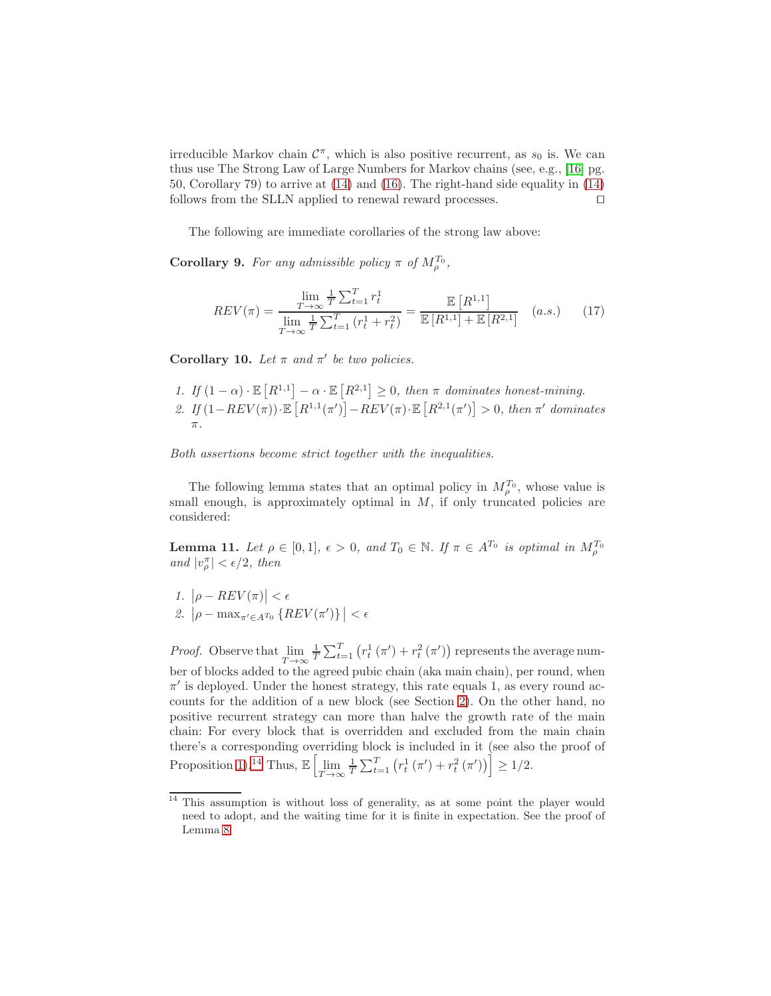irreducible Markov chain  $\mathcal{C}^{\pi}$ , which is also positive recurrent, as  $s_0$  is. We can thus use The Strong Law of Large Numbers for Markov chains (see, e.g., [\[16\]](#page-21-3) pg. 50, Corollary 79) to arrive at [\(14\)](#page-23-2) and [\(16\)](#page-23-3). The right-hand side equality in [\(14\)](#page-23-2) follows from the SLLN applied to renewal reward processes. ⊓⊔

The following are immediate corollaries of the strong law above:

**Corollary 9.** For any admissible policy  $\pi$  of  $M_{\rho}^{T_0}$ ,

<span id="page-24-2"></span>
$$
REV(\pi) = \frac{\lim_{T \to \infty} \frac{1}{T} \sum_{t=1}^T r_t^1}{\lim_{T \to \infty} \frac{1}{T} \sum_{t=1}^T (r_t^1 + r_t^2)} = \frac{\mathbb{E}\left[R^{1,1}\right]}{\mathbb{E}\left[R^{1,1}\right] + \mathbb{E}\left[R^{2,1}\right]} \quad (a.s.) \tag{17}
$$

<span id="page-24-0"></span>Corollary 10. Let  $\pi$  and  $\pi'$  be two policies.

1. If  $(1 - \alpha) \cdot \mathbb{E}[R^{1,1}] - \alpha \cdot \mathbb{E}[R^{2,1}] \geq 0$ , then  $\pi$  dominates honest-mining. 2. If  $(1 - REV(\pi)) \cdot \mathbb{E}\left[R^{1,1}(\pi')\right] - REV(\pi) \cdot \mathbb{E}\left[R^{2,1}(\pi')\right] > 0$ , then  $\pi'$  dominates π.

Both assertions become strict together with the inequalities.

The following lemma states that an optimal policy in  $M_{\rho}^{T_0}$ , whose value is small enough, is approximately optimal in  $M$ , if only truncated policies are considered:

<span id="page-24-3"></span>**Lemma 11.** Let  $\rho \in [0,1], \epsilon > 0$ , and  $T_0 \in \mathbb{N}$ . If  $\pi \in A^{T_0}$  is optimal in  $M_{\rho}^{T_0}$ and  $|v_{\rho}^{\pi}| < \epsilon/2$ , then

1. 
$$
|\rho - REV(\pi)| < \epsilon
$$
  
2.  $|\rho - \max_{\pi' \in A^{T_0}} \{ REV(\pi')\}| < \epsilon$ 

*Proof.* Observe that  $\lim_{T\to\infty}$  $\frac{1}{T} \sum_{t=1}^{T} (r_t^1(\pi') + r_t^2(\pi'))$  represents the average number of blocks added to the agreed pubic chain (aka main chain), per round, when  $\pi'$  is deployed. Under the honest strategy, this rate equals 1, as every round accounts for the addition of a new block (see Section [2\)](#page-4-0). On the other hand, no positive recurrent strategy can more than halve the growth rate of the main chain: For every block that is overridden and excluded from the main chain there's a corresponding overriding block is included in it (see also the proof of Proposition [1\)](#page-8-3).<sup>[14](#page-24-1)</sup> Thus,  $\mathbb{E}\left[\lim_{T\to\infty}\right]$  $\frac{1}{T} \sum_{t=1}^{T} (r_t^1(\pi') + r_t^2(\pi')) \geq 1/2.$ 

<span id="page-24-1"></span><sup>&</sup>lt;sup>14</sup> This assumption is without loss of generality, as at some point the player would need to adopt, and the waiting time for it is finite in expectation. See the proof of Lemma [8.](#page-23-1)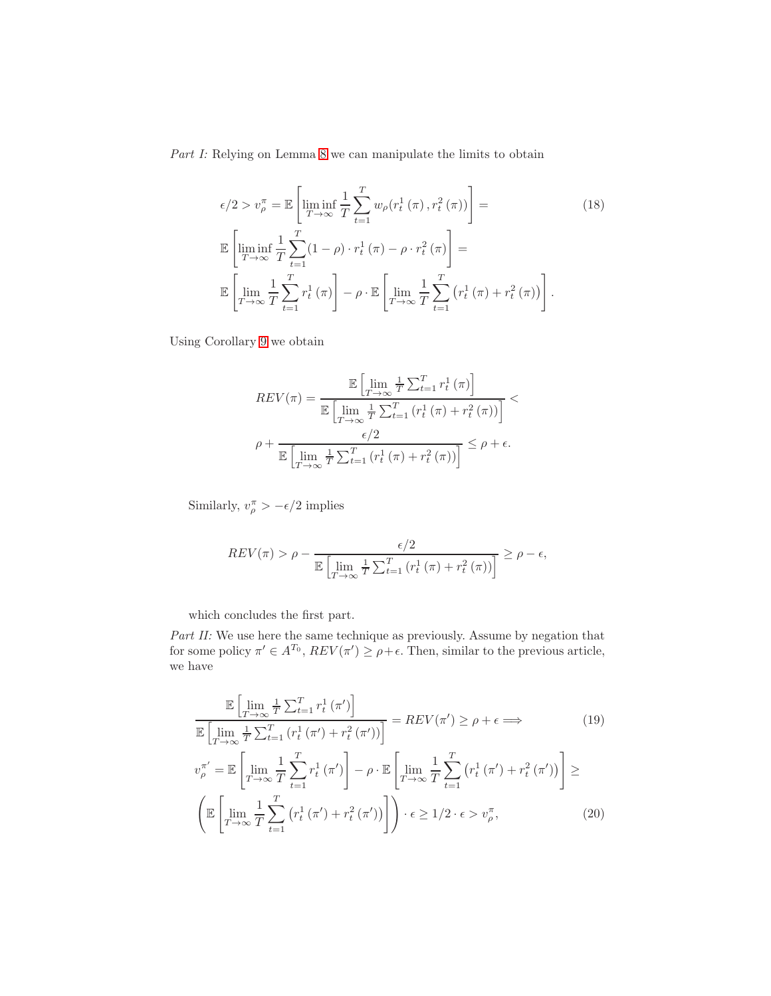Part I: Relying on Lemma [8](#page-23-1) we can manipulate the limits to obtain

$$
\epsilon/2 > v_{\rho}^{\pi} = \mathbb{E}\left[\liminf_{T \to \infty} \frac{1}{T} \sum_{t=1}^{T} w_{\rho}(r_t^1(\pi), r_t^2(\pi))\right] =
$$
\n
$$
\mathbb{E}\left[\liminf_{T \to \infty} \frac{1}{T} \sum_{t=1}^{T} (1-\rho) \cdot r_t^1(\pi) - \rho \cdot r_t^2(\pi)\right] =
$$
\n
$$
\mathbb{E}\left[\lim_{T \to \infty} \frac{1}{T} \sum_{t=1}^{T} r_t^1(\pi)\right] - \rho \cdot \mathbb{E}\left[\lim_{T \to \infty} \frac{1}{T} \sum_{t=1}^{T} \left(r_t^1(\pi) + r_t^2(\pi)\right)\right].
$$
\n(18)

Using Corollary [9](#page-24-2) we obtain

$$
REV(\pi) = \frac{\mathbb{E}\left[\lim_{T \to \infty} \frac{1}{T} \sum_{t=1}^T r_t^1(\pi)\right]}{\mathbb{E}\left[\lim_{T \to \infty} \frac{1}{T} \sum_{t=1}^T \left(r_t^1(\pi) + r_t^2(\pi)\right)\right]} \n\rho + \frac{\epsilon/2}{\mathbb{E}\left[\lim_{T \to \infty} \frac{1}{T} \sum_{t=1}^T \left(r_t^1(\pi) + r_t^2(\pi)\right)\right]} \leq \rho + \epsilon.
$$

Similarly,  $v_{\rho}^{\pi} > -\epsilon/2$  implies

$$
REV(\pi) > \rho - \frac{\epsilon/2}{\mathbb{E}\left[\lim_{T \to \infty} \frac{1}{T} \sum_{t=1}^T \left(r_t^1\left(\pi\right) + r_t^2\left(\pi\right)\right)\right]} \ge \rho - \epsilon,
$$

which concludes the first part.

Part II: We use here the same technique as previously. Assume by negation that for some policy  $\pi' \in A^{T_0}, REV(\pi') \geq \rho + \epsilon$ . Then, similar to the previous article, we have

<span id="page-25-0"></span>
$$
\frac{\mathbb{E}\left[\lim_{T\to\infty}\frac{1}{T}\sum_{t=1}^{T}r_t^1(\pi')\right]}{\mathbb{E}\left[\lim_{T\to\infty}\frac{1}{T}\sum_{t=1}^{T}\left(r_t^1(\pi')+r_t^2(\pi')\right)\right]} = REV(\pi') \ge \rho + \epsilon \Longrightarrow
$$
\n(19)

<span id="page-25-1"></span>
$$
v_{\rho}^{\pi'} = \mathbb{E}\left[\lim_{T \to \infty} \frac{1}{T} \sum_{t=1}^{T} r_t^1(\pi')\right] - \rho \cdot \mathbb{E}\left[\lim_{T \to \infty} \frac{1}{T} \sum_{t=1}^{T} \left(r_t^1(\pi') + r_t^2(\pi')\right)\right] \ge
$$

$$
\left(\mathbb{E}\left[\lim_{T \to \infty} \frac{1}{T} \sum_{t=1}^{T} \left(r_t^1(\pi') + r_t^2(\pi')\right)\right]\right) \cdot \epsilon \ge 1/2 \cdot \epsilon > v_{\rho}^{\pi},\tag{20}
$$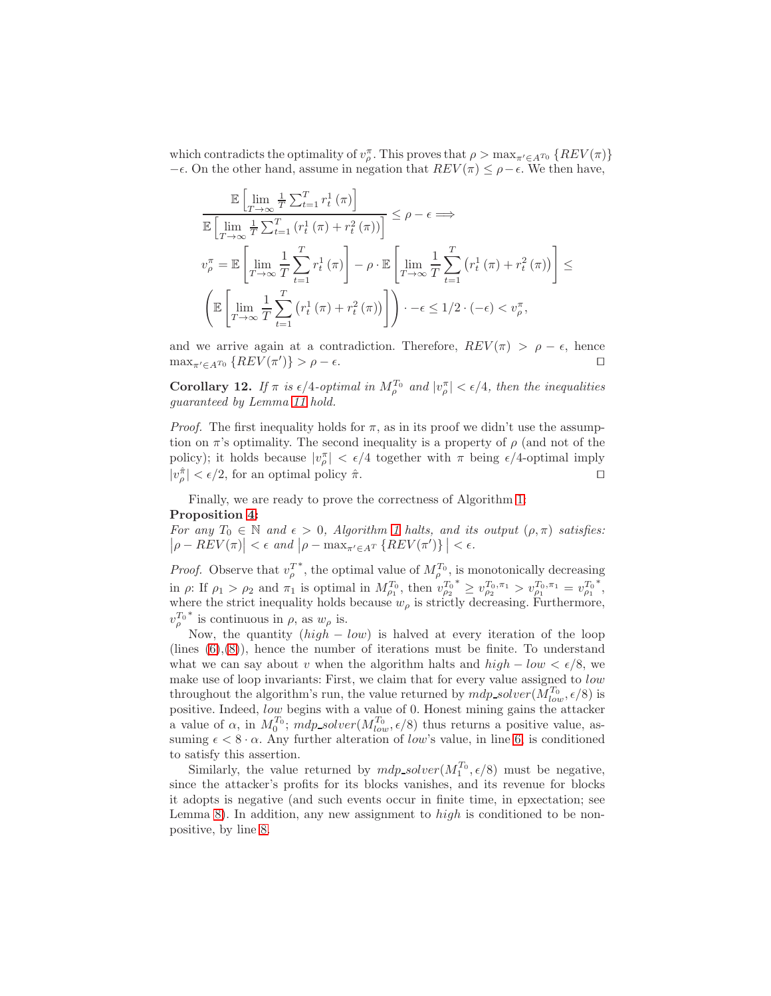which contradicts the optimality of  $v_\rho^\pi$ . This proves that  $\rho > \max_{\pi' \in A^{T_0}} \{ REV(\pi) \}$  $-\epsilon$ . On the other hand, assume in negation that  $REV(\pi) \leq \rho - \epsilon$ . We then have,

$$
\frac{\mathbb{E}\left[\lim_{T\to\infty}\frac{1}{T}\sum_{t=1}^{T}r_{t}^{1}\left(\pi\right)\right]}{\mathbb{E}\left[\lim_{T\to\infty}\frac{1}{T}\sum_{t=1}^{T}\left(r_{t}^{1}\left(\pi\right)+r_{t}^{2}\left(\pi\right)\right)\right]}\leq\rho-\epsilon \Longrightarrow
$$
\n
$$
v_{\rho}^{\pi} = \mathbb{E}\left[\lim_{T\to\infty}\frac{1}{T}\sum_{t=1}^{T}r_{t}^{1}\left(\pi\right)\right]-\rho\cdot\mathbb{E}\left[\lim_{T\to\infty}\frac{1}{T}\sum_{t=1}^{T}\left(r_{t}^{1}\left(\pi\right)+r_{t}^{2}\left(\pi\right)\right)\right]\leq
$$
\n
$$
\left(\mathbb{E}\left[\lim_{T\to\infty}\frac{1}{T}\sum_{t=1}^{T}\left(r_{t}^{1}\left(\pi\right)+r_{t}^{2}\left(\pi\right)\right)\right]\right)\cdot-\epsilon \leq 1/2\cdot(-\epsilon)
$$

and we arrive again at a contradiction. Therefore,  $REV(\pi) > \rho - \epsilon$ , hence  $\max_{\pi' \in A^{T_0}} \{ REV(\pi')\} > \rho - \epsilon.$ 

**Corollary 12.** If  $\pi$  is  $\epsilon/4$ -optimal in  $M_{\rho}^{T_0}$  and  $|v_{\rho}^{\pi}| < \epsilon/4$ , then the inequalities guaranteed by Lemma [11](#page-24-3) hold.

*Proof.* The first inequality holds for  $\pi$ , as in its proof we didn't use the assumption on  $\pi$ 's optimality. The second inequality is a property of  $\rho$  (and not of the policy); it holds because  $|v_{\rho}^{\pi}| < \epsilon/4$  together with  $\pi$  being  $\epsilon/4$ -optimal imply  $|v_{\rho}^{\hat{\pi}}| < \epsilon/2$ , for an optimal policy  $\hat{\pi}$ .  $\Box$ 

Finally, we are ready to prove the correctness of Algorithm [1:](#page-10-5) Proposition [4:](#page-11-1)

For any  $T_0 \in \mathbb{N}$  and  $\epsilon > 0$ , Algorithm [1](#page-10-5) halts, and its output  $(\rho, \pi)$  satisfies:  $|\rho - REV(\pi)| < \epsilon$  and  $|\rho - \max_{\pi' \in A^T} \{ REV(\pi')\}| < \epsilon$ .

*Proof.* Observe that  $v_\rho^T$ \*, the optimal value of  $M_{\rho}^{T_0}$ , is monotonically decreasing in  $\rho$ : If  $\rho_1 > \rho_2$  and  $\pi_1$  is optimal in  $M_{\rho_1}^{T_0}$ , then  $v_{\rho_2}^{T_0}$ \*  $\geq v_{\rho_2}^{T_0, \pi_1} > v_{\rho_1}^{T_0, \pi_1} = v_{\rho_1}^{T_0}$ ∗ , where the strict inequality holds because  $w_{\rho}$  is strictly decreasing. Furthermore,  $v_\rho^{T_0}$ \* is continuous in  $\rho$ , as  $w_\rho$  is.

Now, the quantity  $(high - low)$  is halved at every iteration of the loop (lines  $(6)$ , $(8)$ ), hence the number of iterations must be finite. To understand what we can say about v when the algorithm halts and  $high - low < \epsilon/8$ , we make use of loop invariants: First, we claim that for every value assigned to *low* throughout the algorithm's run, the value returned by  $mdp\_solver(M_{low}^{T_0}, \epsilon/8)$  is positive. Indeed, low begins with a value of 0. Honest mining gains the attacker a value of  $\alpha$ , in  $M_0^{T_0}$ ;  $mdp\_solver(M_{low}^{T_0}, \epsilon/8)$  thus returns a positive value, assuming  $\epsilon < 8 \cdot \alpha$ . Any further alteration of low's value, in line [6,](#page-10-3) is conditioned to satisfy this assertion.

Similarly, the value returned by  $mdp\_solver(M_1^{T_0}, \epsilon/8)$  must be negative, since the attacker's profits for its blocks vanishes, and its revenue for blocks it adopts is negative (and such events occur in finite time, in epxectation; see Lemma [8\)](#page-23-1). In addition, any new assignment to *high* is conditioned to be nonpositive, by line [8.](#page-10-4)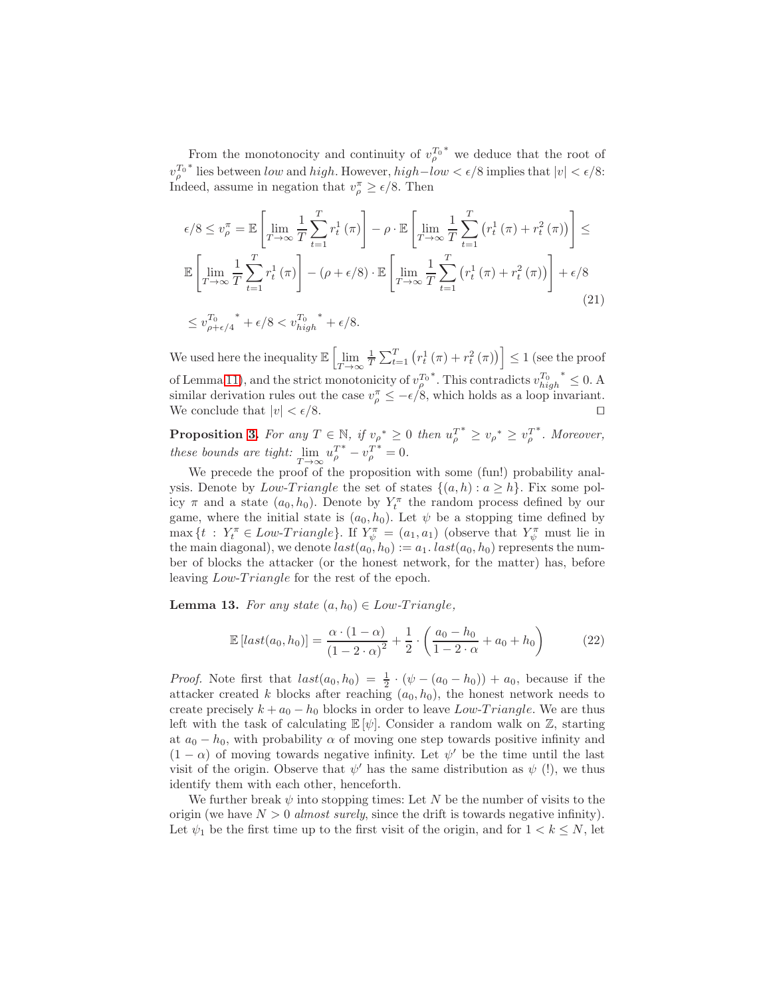From the monotonocity and continuity of  $v_\rho^{T_0}$ ∗ we deduce that the root of  $v_\rho^{T_0}$ <sup>\*</sup> lies between low and high. However, high-low  $\lt \epsilon/8$  implies that  $|v| \lt \epsilon/8$ : Indeed, assume in negation that  $v_{\rho}^{\pi} \ge \epsilon/8$ . Then

$$
\epsilon/8 \leq v_{\rho}^{\pi} = \mathbb{E}\left[\lim_{T \to \infty} \frac{1}{T} \sum_{t=1}^{T} r_t^1(\pi)\right] - \rho \cdot \mathbb{E}\left[\lim_{T \to \infty} \frac{1}{T} \sum_{t=1}^{T} \left(r_t^1(\pi) + r_t^2(\pi)\right)\right] \leq
$$
  

$$
\mathbb{E}\left[\lim_{T \to \infty} \frac{1}{T} \sum_{t=1}^{T} r_t^1(\pi)\right] - (\rho + \epsilon/8) \cdot \mathbb{E}\left[\lim_{T \to \infty} \frac{1}{T} \sum_{t=1}^{T} \left(r_t^1(\pi) + r_t^2(\pi)\right)\right] + \epsilon/8
$$
  

$$
\leq v_{\rho + \epsilon/4}^{T_0} + \epsilon/8 < v_{high}^{T_0}^{\pi^*} + \epsilon/8.
$$
 (21)

We used here the inequality  $\mathbb{E}\left[\lim_{T\to\infty}\right]$  $\frac{1}{T} \sum_{t=1}^{T} (r_t^1(\pi) + r_t^2(\pi)) \leq 1$  (see the proof of Lemma [11\)](#page-24-3), and the strict monotonicity of  $v_\rho^{T_0}$ <sup>\*</sup>. This contradicts  $v_{high}^{T_0}$  $^*$  ≤ 0. A similar derivation rules out the case  $v_p^{\pi} \le -\epsilon/8$ , which holds as a loop invariant. We conclude that  $|v| < \epsilon/8$ . □

**Proposition [3.](#page-10-9)** For any  $T \in \mathbb{N}$ , if  $v_{\rho}^* \geq 0$  then  $u_{\rho}^T$ \*  $\ge v_{\rho}$ \*  $\ge v_{\rho}^T$ ∗ . Moreover, these bounds are tight:  $\lim_{T \to \infty} u_{\rho}^T$ \* –  $v_\rho^T$  $* = 0.$ 

We precede the proof of the proposition with some (fun!) probability analysis. Denote by  $Low-Triangle$  the set of states  $\{(a, h) : a \geq h\}$ . Fix some policy  $\pi$  and a state  $(a_0, h_0)$ . Denote by  $Y_t^{\pi}$  the random process defined by our game, where the initial state is  $(a_0, h_0)$ . Let  $\psi$  be a stopping time defined by  $\max\{t: Y_t^{\pi} \in Low\text{-}Triangle\}$ . If  $Y_{\psi}^{\pi} = (a_1, a_1)$  (observe that  $Y_{\psi}^{\pi}$  must lie in the main diagonal), we denote  $last(a_0, h_0) := a_1$ .  $last(a_0, h_0)$  represents the number of blocks the attacker (or the honest network, for the matter) has, before leaving Low-Triangle for the rest of the epoch.

**Lemma 13.** For any state  $(a, h_0) \in Low\text{-}Triangle$ ,

<span id="page-27-0"></span>
$$
\mathbb{E}\left[last(a_0, h_0)\right] = \frac{\alpha \cdot (1 - \alpha)}{(1 - 2 \cdot \alpha)^2} + \frac{1}{2} \cdot \left(\frac{a_0 - h_0}{1 - 2 \cdot \alpha} + a_0 + h_0\right) \tag{22}
$$

*Proof.* Note first that  $last(a_0, h_0) = \frac{1}{2} \cdot (\psi - (a_0 - h_0)) + a_0$ , because if the attacker created k blocks after reaching  $(a_0, h_0)$ , the honest network needs to create precisely  $k + a_0 - h_0$  blocks in order to leave Low-Triangle. We are thus left with the task of calculating  $\mathbb{E}[\psi]$ . Consider a random walk on  $\mathbb{Z}$ , starting at  $a_0 - h_0$ , with probability  $\alpha$  of moving one step towards positive infinity and  $(1 - \alpha)$  of moving towards negative infinity. Let  $\psi'$  be the time until the last visit of the origin. Observe that  $\psi'$  has the same distribution as  $\psi$  (!), we thus identify them with each other, henceforth.

We further break  $\psi$  into stopping times: Let N be the number of visits to the origin (we have  $N > 0$  almost surely, since the drift is towards negative infinity). Let  $\psi_1$  be the first time up to the first visit of the origin, and for  $1 < k \leq N$ , let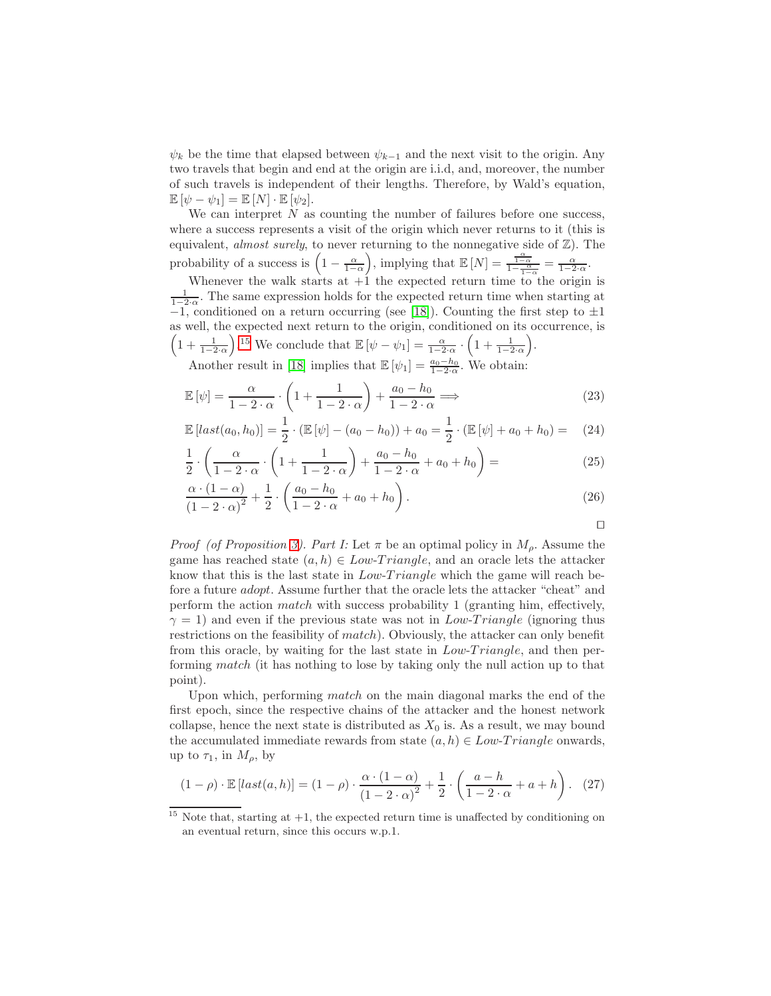$\psi_k$  be the time that elapsed between  $\psi_{k-1}$  and the next visit to the origin. Any two travels that begin and end at the origin are i.i.d, and, moreover, the number of such travels is independent of their lengths. Therefore, by Wald's equation,  $\mathbb{E}[\psi - \psi_1] = \mathbb{E}[N] \cdot \mathbb{E}[\psi_2].$ 

We can interpret  $N$  as counting the number of failures before one success, where a success represents a visit of the origin which never returns to it (this is equivalent, *almost surely*, to never returning to the nonnegative side of  $\mathbb{Z}$ ). The probability of a success is  $\left(1 - \frac{\alpha}{1 - \alpha}\right)$ ), implying that  $\mathbb{E}[N] = \frac{\frac{\alpha}{1-\alpha}}{1-\frac{\alpha}{1-\alpha}} = \frac{\alpha}{1-2\cdot\alpha}.$ 

Whenever the walk starts at +1 the expected return time to the origin is  $\frac{1}{1-2\alpha}$ . The same expression holds for the expected return time when starting at  $-1$ , conditioned on a return occurring (see [\[18\]](#page-21-4)). Counting the first step to  $\pm 1$ as well, the expected next return to the origin, conditioned on its occurrence, is  $\left(1+\frac{1}{1-2\cdot\alpha}\right)$ ).<sup>[15](#page-28-0)</sup> We conclude that  $\mathbb{E}[\psi - \psi_1] = \frac{\alpha}{1 - 2 \cdot \alpha} \cdot \left(1 + \frac{1}{1 - 2 \cdot \alpha}\right)$ .

Another result in [\[18\]](#page-21-4) implies that  $\mathbb{E}[\psi_1] = \frac{a_0 - h_0}{1 - 2 \cdot \alpha}$ . We obtain:

$$
\mathbb{E}[\psi] = \frac{\alpha}{1 - 2 \cdot \alpha} \cdot \left(1 + \frac{1}{1 - 2 \cdot \alpha}\right) + \frac{a_0 - h_0}{1 - 2 \cdot \alpha} \Longrightarrow \tag{23}
$$

$$
\mathbb{E}\left[last(a_0, h_0)\right] = \frac{1}{2} \cdot (\mathbb{E}\left[\psi\right] - (a_0 - h_0)) + a_0 = \frac{1}{2} \cdot (\mathbb{E}\left[\psi\right] + a_0 + h_0) = (24)
$$

$$
\frac{1}{2} \cdot \left( \frac{\alpha}{1 - 2 \cdot \alpha} \cdot \left( 1 + \frac{1}{1 - 2 \cdot \alpha} \right) + \frac{a_0 - h_0}{1 - 2 \cdot \alpha} + a_0 + h_0 \right) = \tag{25}
$$

$$
\frac{\alpha \cdot (1 - \alpha)}{(1 - 2 \cdot \alpha)^2} + \frac{1}{2} \cdot \left( \frac{a_0 - h_0}{1 - 2 \cdot \alpha} + a_0 + h_0 \right). \tag{26}
$$

⊓⊔

*Proof (of Proposition [3\)](#page-10-9). Part I:* Let  $\pi$  be an optimal policy in  $M_{\rho}$ . Assume the game has reached state  $(a, h) \in Low-Triangle$ , and an oracle lets the attacker know that this is the last state in  $Low-Triangle$  which the game will reach before a future adopt. Assume further that the oracle lets the attacker "cheat" and perform the action match with success probability 1 (granting him, effectively,  $\gamma = 1$ ) and even if the previous state was not in Low-Triangle (ignoring thus restrictions on the feasibility of match). Obviously, the attacker can only benefit from this oracle, by waiting for the last state in  $Low-Triangle$ , and then performing match (it has nothing to lose by taking only the null action up to that point).

Upon which, performing match on the main diagonal marks the end of the first epoch, since the respective chains of the attacker and the honest network collapse, hence the next state is distributed as  $X_0$  is. As a result, we may bound the accumulated immediate rewards from state  $(a, h) \in Low\text{-}Triangle$  onwards, up to  $\tau_1$ , in  $M_\rho$ , by

<span id="page-28-1"></span>
$$
(1 - \rho) \cdot \mathbb{E}\left[last(a, h)\right] = (1 - \rho) \cdot \frac{\alpha \cdot (1 - \alpha)}{(1 - 2 \cdot \alpha)^2} + \frac{1}{2} \cdot \left(\frac{a - h}{1 - 2 \cdot \alpha} + a + h\right). \tag{27}
$$

<span id="page-28-0"></span> $15$  Note that, starting at  $+1$ , the expected return time is unaffected by conditioning on an eventual return, since this occurs w.p.1.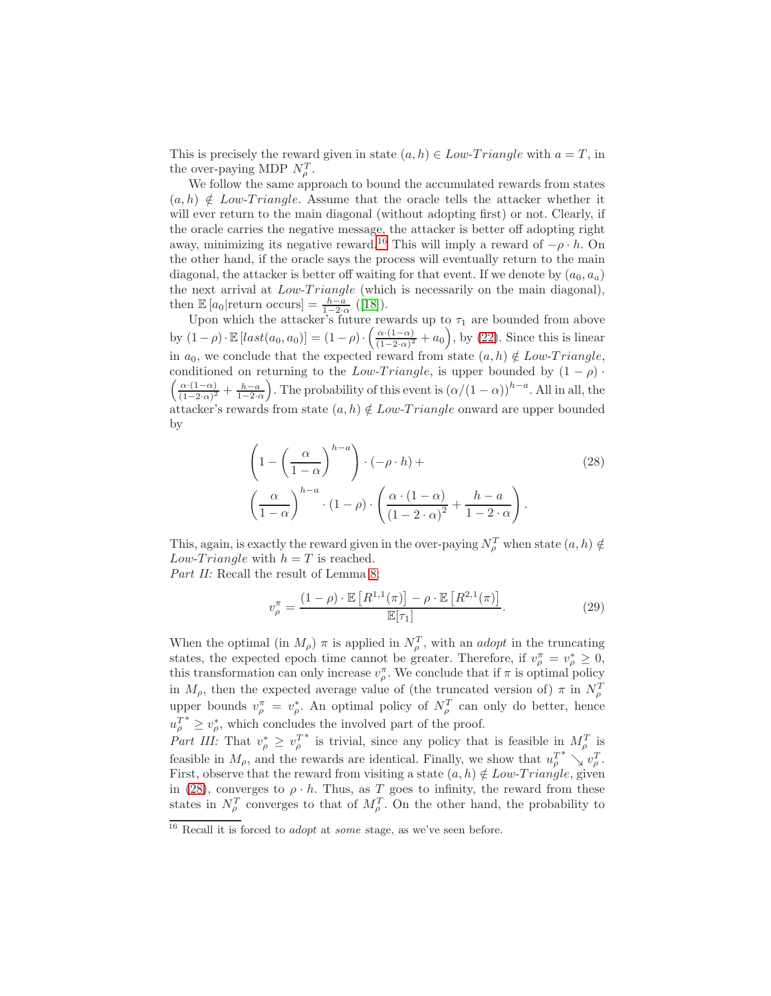This is precisely the reward given in state  $(a, h) \in Low\text{-}Triangle$  with  $a = T$ , in the over-paying MDP  $N_{\rho}^{T}$ .

We follow the same approach to bound the accumulated rewards from states  $(a, h) \notin Low-Triangle$ . Assume that the oracle tells the attacker whether it will ever return to the main diagonal (without adopting first) or not. Clearly, if the oracle carries the negative message, the attacker is better off adopting right away, minimizing its negative reward.<sup>[16](#page-29-0)</sup> This will imply a reward of  $-\rho \cdot h$ . On the other hand, if the oracle says the process will eventually return to the main diagonal, the attacker is better off waiting for that event. If we denote by  $(a_0, a_a)$ the next arrival at  $Low-Triangle$  (which is necessarily on the main diagonal), then  $\mathbb{E}[a_0|\text{return occurs}] = \frac{h-a}{1-2\alpha}$  ([\[18\]](#page-21-4)).

Upon which the attacker's future rewards up to  $\tau_1$  are bounded from above by  $(1-\rho) \cdot \mathbb{E} [last(a_0, a_0)] = (1-\rho) \cdot \left( \frac{\alpha \cdot (1-\alpha)}{(1-2\alpha \cdot \alpha)^2} \right)$  $\left(\frac{\alpha\cdot(1-\alpha)}{(1-2\cdot\alpha)^2}+a_0\right)$ , by [\(22\)](#page-27-0). Since this is linear in  $a_0$ , we conclude that the expected reward from state  $(a, h) \notin Low\text{-}Triangle$ , conditioned on returning to the  $Low\text{-}Triangle$ , is upper bounded by  $(1 - \rho)$ . conditioned on returning to the Low-Triangle, is upper bounded by  $(1 - \rho) \cdot$ <br>  $\left( \alpha \cdot (1 - \alpha) + h - a \right)$  The probability of this quant is  $(\alpha/(1 - \alpha))^{h - a}$ . All in all the  $\frac{\alpha \cdot (1-\alpha)}{(1-2\cdot \alpha)^2} + \frac{h-a}{1-2\cdot \alpha}$ ). The probability of this event is  $(\alpha/(1-\alpha))^{h-a}$ . All in all, the attacker's rewards from state  $(a, h) \notin Low\text{-}Triangle$  onward are upper bounded by

<span id="page-29-1"></span>
$$
\left(1 - \left(\frac{\alpha}{1-\alpha}\right)^{h-a}\right) \cdot (-\rho \cdot h) + \left(\frac{\alpha}{1-\alpha}\right)^{h-a} \cdot (1-\rho) \cdot \left(\frac{\alpha \cdot (1-\alpha)}{(1-2 \cdot \alpha)^2} + \frac{h-a}{1-2 \cdot \alpha}\right).
$$
\n(28)

This, again, is exactly the reward given in the over-paying  $N_{\rho}^T$  when state  $(a, h) \notin$ Low-Triangle with  $h = T$  is reached. Part II: Recall the result of Lemma [8:](#page-23-1)

$$
v_{\rho}^{\pi} = \frac{(1-\rho) \cdot \mathbb{E}\left[R^{1,1}(\pi)\right] - \rho \cdot \mathbb{E}\left[R^{2,1}(\pi)\right]}{\mathbb{E}[\tau_1]}.
$$
 (29)

When the optimal (in  $M_{\rho}$ )  $\pi$  is applied in  $N_{\rho}^T$ , with an *adopt* in the truncating states, the expected epoch time cannot be greater. Therefore, if  $v_{\rho}^{\pi} = v_{\rho}^* \geq 0$ , this transformation can only increase  $v_\rho^{\pi}$ . We conclude that if  $\pi$  is optimal policy in  $M_{\rho}$ , then the expected average value of (the truncated version of)  $\pi$  in  $N_{\rho}^T$ upper bounds  $v_{\rho}^{\pi} = v_{\rho}^*$ . An optimal policy of  $N_{\rho}^T$  can only do better, hence  $u_\rho^T$ \*  $\geq v_{\rho}^*$ , which concludes the involved part of the proof. Part III: That  $v_{\rho}^* \geq v_{\rho}^T$ \* is trivial, since any policy that is feasible in  $M_{\rho}^T$  is

feasible in  $M_{\rho}$ , and the rewards are identical. Finally, we show that  $u_{\rho}^{T^*} \searrow v_{\rho}^T$ . First, observe that the reward from visiting a state  $(a, h) \notin Low\text{-}Triangle$ , given in [\(28\)](#page-29-1), converges to  $\rho \cdot h$ . Thus, as T goes to infinity, the reward from these states in  $N_{\rho}^{T}$  converges to that of  $M_{\rho}^{T}$ . On the other hand, the probability to

<span id="page-29-0"></span><sup>16</sup> Recall it is forced to adopt at *some* stage, as we've seen before.